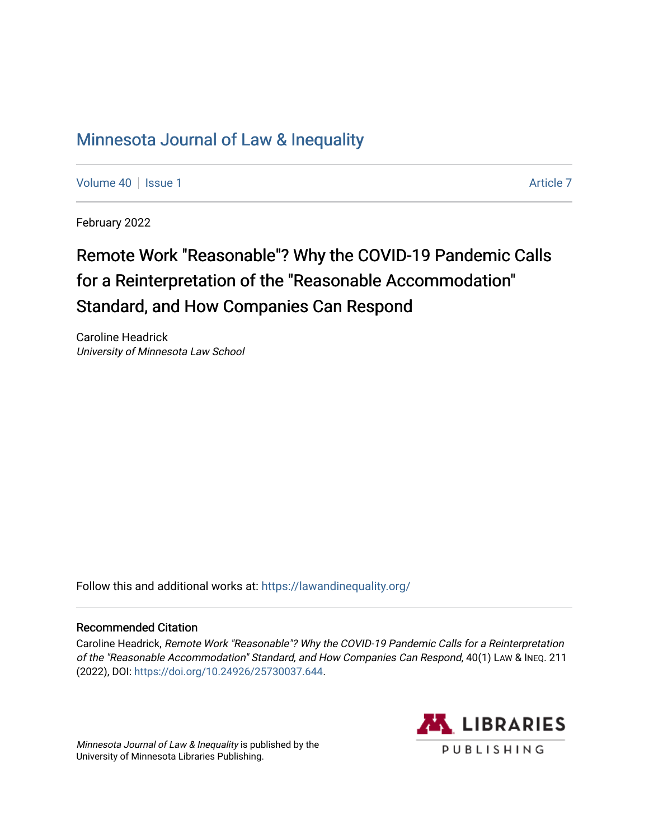# [Minnesota Journal of Law & Inequality](https://scholarship.law.umn.edu/lawineq)

[Volume 40](https://scholarship.law.umn.edu/lawineq/vol40) | [Issue 1](https://scholarship.law.umn.edu/lawineq/vol40/iss1) [Article 7](https://scholarship.law.umn.edu/lawineq/vol40/iss1/7) Article 7 Article 7 Article 7 Article 7 Article 7 Article 7 Article 7

February 2022

# Remote Work "Reasonable"? Why the COVID-19 Pandemic Calls for a Reinterpretation of the "Reasonable Accommodation" Standard, and How Companies Can Respond

Caroline Headrick University of Minnesota Law School

Follow this and additional works at: <https://lawandinequality.org/>

# Recommended Citation

Caroline Headrick, Remote Work "Reasonable"? Why the COVID-19 Pandemic Calls for a Reinterpretation of the "Reasonable Accommodation" Standard, and How Companies Can Respond, 40(1) LAW & INEQ. 211 (2022), DOI: [https://doi.org/10.24926/25730037.644.](https://doi.org/10.24926/25730037.644)

Minnesota Journal of Law & Inequality is published by the University of Minnesota Libraries Publishing.

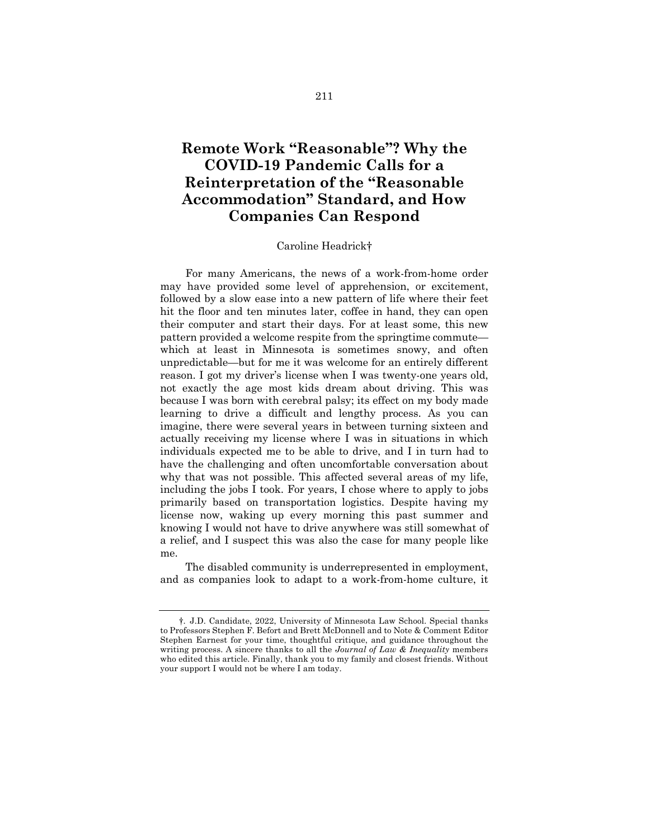# **Remote Work "Reasonable"? Why the COVID-19 Pandemic Calls for a Reinterpretation of the "Reasonable Accommodation" Standard, and How Companies Can Respond**

#### Caroline Headrick†

For many Americans, the news of a work-from-home order may have provided some level of apprehension, or excitement, followed by a slow ease into a new pattern of life where their feet hit the floor and ten minutes later, coffee in hand, they can open their computer and start their days. For at least some, this new pattern provided a welcome respite from the springtime commute which at least in Minnesota is sometimes snowy, and often unpredictable—but for me it was welcome for an entirely different reason. I got my driver's license when I was twenty-one years old, not exactly the age most kids dream about driving. This was because I was born with cerebral palsy; its effect on my body made learning to drive a difficult and lengthy process. As you can imagine, there were several years in between turning sixteen and actually receiving my license where I was in situations in which individuals expected me to be able to drive, and I in turn had to have the challenging and often uncomfortable conversation about why that was not possible. This affected several areas of my life, including the jobs I took. For years, I chose where to apply to jobs primarily based on transportation logistics. Despite having my license now, waking up every morning this past summer and knowing I would not have to drive anywhere was still somewhat of a relief, and I suspect this was also the case for many people like me.

The disabled community is underrepresented in employment, and as companies look to adapt to a work-from-home culture, it

<sup>†.</sup> J.D. Candidate, 2022, University of Minnesota Law School. Special thanks to Professors Stephen F. Befort and Brett McDonnell and to Note & Comment Editor Stephen Earnest for your time, thoughtful critique, and guidance throughout the writing process. A sincere thanks to all the *Journal of Law & Inequality* members who edited this article. Finally, thank you to my family and closest friends. Without your support I would not be where I am today.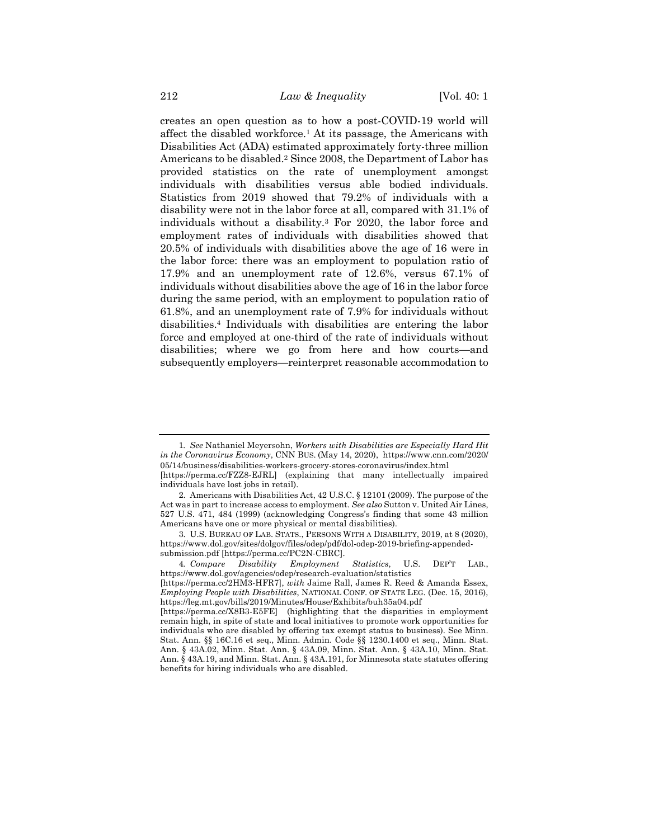creates an open question as to how a post-COVID-19 world will affect the disabled workforce.1 At its passage, the Americans with Disabilities Act (ADA) estimated approximately forty-three million Americans to be disabled.2 Since 2008, the Department of Labor has provided statistics on the rate of unemployment amongst individuals with disabilities versus able bodied individuals. Statistics from 2019 showed that 79.2% of individuals with a disability were not in the labor force at all, compared with 31.1% of individuals without a disability.3 For 2020, the labor force and employment rates of individuals with disabilities showed that 20.5% of individuals with disabilities above the age of 16 were in the labor force: there was an employment to population ratio of 17.9% and an unemployment rate of 12.6%, versus 67.1% of individuals without disabilities above the age of 16 in the labor force during the same period, with an employment to population ratio of 61.8%, and an unemployment rate of 7.9% for individuals without disabilities.4 Individuals with disabilities are entering the labor force and employed at one-third of the rate of individuals without disabilities; where we go from here and how courts—and subsequently employers—reinterpret reasonable accommodation to

<sup>1</sup>*. See* Nathaniel Meyersohn, *Workers with Disabilities are Especially Hard Hit in the Coronavirus Economy*, CNN BUS. (May 14, 2020), https://www.cnn.com/2020/ 05/14/business/disabilities-workers-grocery-stores-coronavirus/index.html

<sup>[</sup>https://perma.cc/FZZ8-EJRL] (explaining that many intellectually impaired individuals have lost jobs in retail).

<sup>2.</sup> Americans with Disabilities Act, 42 U.S.C. § 12101 (2009). The purpose of the Act was in part to increase access to employment. *See also* Sutton v. United Air Lines, 527 U.S. 471, 484 (1999) (acknowledging Congress's finding that some 43 million Americans have one or more physical or mental disabilities).

<sup>3.</sup> U.S. BUREAU OF LAB. STATS., PERSONS WITH A DISABILITY, 2019, at 8 (2020), https://www.dol.gov/sites/dolgov/files/odep/pdf/dol-odep-2019-briefing-appendedsubmission.pdf [https://perma.cc/PC2N-CBRC].

<sup>4</sup>*. Compare Disability Employment Statistics*, U.S. DEP'T LAB., https://www.dol.gov/agencies/odep/research-evaluation/statistics

<sup>[</sup>https://perma.cc/2HM3-HFR7], *with* Jaime Rall, James R. Reed & Amanda Essex, *Employing People with Disabilities*, NATIONAL CONF. OF STATE LEG. (Dec. 15, 2016), https://leg.mt.gov/bills/2019/Minutes/House/Exhibits/buh35a04.pdf

<sup>[</sup>https://perma.cc/X8B3-E5FE] (highlighting that the disparities in employment remain high, in spite of state and local initiatives to promote work opportunities for individuals who are disabled by offering tax exempt status to business). See Minn. Stat. Ann. §§ 16C.16 et seq., Minn. Admin. Code §§ 1230.1400 et seq., Minn. Stat. Ann. § 43A.02, Minn. Stat. Ann. § 43A.09, Minn. Stat. Ann. § 43A.10, Minn. Stat. Ann. § 43A.19, and Minn. Stat. Ann. § 43A.191, for Minnesota state statutes offering benefits for hiring individuals who are disabled.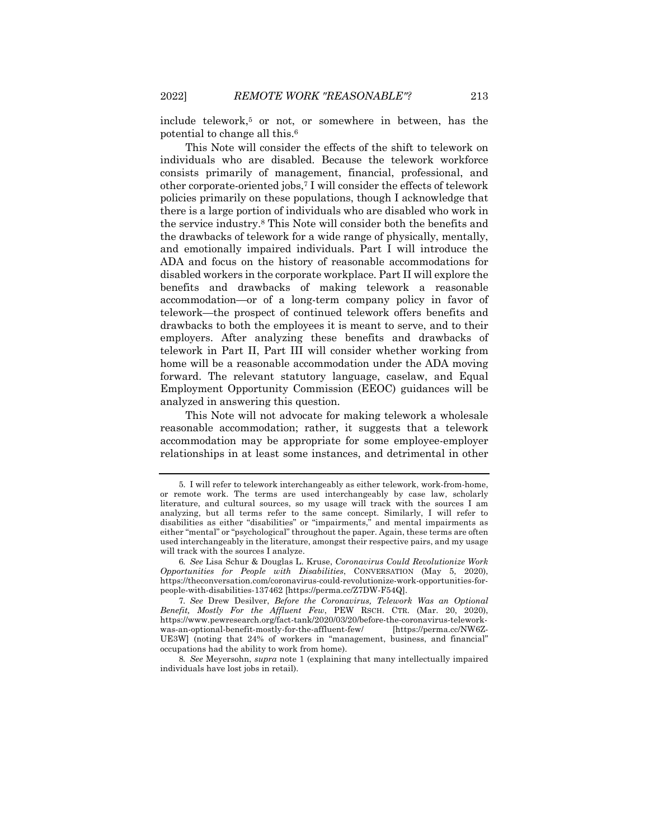include telework,<sup>5</sup> or not, or somewhere in between, has the potential to change all this.6

This Note will consider the effects of the shift to telework on individuals who are disabled. Because the telework workforce consists primarily of management, financial, professional, and other corporate-oriented jobs,7 I will consider the effects of telework policies primarily on these populations, though I acknowledge that there is a large portion of individuals who are disabled who work in the service industry.8 This Note will consider both the benefits and the drawbacks of telework for a wide range of physically, mentally, and emotionally impaired individuals. Part I will introduce the ADA and focus on the history of reasonable accommodations for disabled workers in the corporate workplace. Part II will explore the benefits and drawbacks of making telework a reasonable accommodation—or of a long-term company policy in favor of telework—the prospect of continued telework offers benefits and drawbacks to both the employees it is meant to serve, and to their employers. After analyzing these benefits and drawbacks of telework in Part II, Part III will consider whether working from home will be a reasonable accommodation under the ADA moving forward. The relevant statutory language, caselaw, and Equal Employment Opportunity Commission (EEOC) guidances will be analyzed in answering this question.

This Note will not advocate for making telework a wholesale reasonable accommodation; rather, it suggests that a telework accommodation may be appropriate for some employee-employer relationships in at least some instances, and detrimental in other

8*. See* Meyersohn, *supra* note 1 (explaining that many intellectually impaired individuals have lost jobs in retail).

<sup>5.</sup> I will refer to telework interchangeably as either telework, work-from-home, or remote work. The terms are used interchangeably by case law, scholarly literature, and cultural sources, so my usage will track with the sources I am analyzing, but all terms refer to the same concept. Similarly, I will refer to disabilities as either "disabilities" or "impairments," and mental impairments as either "mental" or "psychological" throughout the paper. Again, these terms are often used interchangeably in the literature, amongst their respective pairs, and my usage will track with the sources I analyze.

<sup>6</sup>*. See* Lisa Schur & Douglas L. Kruse, *Coronavirus Could Revolutionize Work Opportunities for People with Disabilities*, CONVERSATION (May 5, 2020), https://theconversation.com/coronavirus-could-revolutionize-work-opportunities-forpeople-with-disabilities-137462 [https://perma.cc/Z7DW-F54Q].

<sup>7</sup>*. See* Drew Desilver, *Before the Coronavirus, Telework Was an Optional Benefit, Mostly For the Affluent Few*, PEW RSCH. CTR. (Mar. 20, 2020), https://www.pewresearch.org/fact-tank/2020/03/20/before-the-coronavirus-teleworkwas-an-optional-benefit-mostly-for-the-affluent-few/ [https://perma.cc/NW6Z-UE3W] (noting that 24% of workers in "management, business, and financial" occupations had the ability to work from home).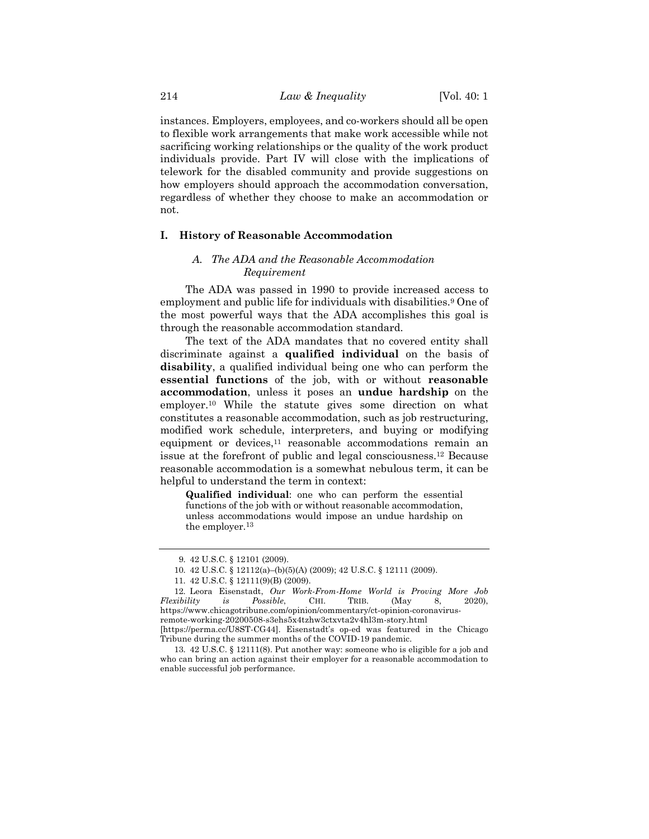instances. Employers, employees, and co-workers should all be open to flexible work arrangements that make work accessible while not sacrificing working relationships or the quality of the work product individuals provide. Part IV will close with the implications of telework for the disabled community and provide suggestions on how employers should approach the accommodation conversation, regardless of whether they choose to make an accommodation or not.

#### **I. History of Reasonable Accommodation**

#### *A. The ADA and the Reasonable Accommodation Requirement*

The ADA was passed in 1990 to provide increased access to employment and public life for individuals with disabilities.<sup>9</sup> One of the most powerful ways that the ADA accomplishes this goal is through the reasonable accommodation standard.

The text of the ADA mandates that no covered entity shall discriminate against a **qualified individual** on the basis of **disability**, a qualified individual being one who can perform the **essential functions** of the job, with or without **reasonable accommodation**, unless it poses an **undue hardship** on the employer.10 While the statute gives some direction on what constitutes a reasonable accommodation, such as job restructuring, modified work schedule, interpreters, and buying or modifying equipment or devices,<sup>11</sup> reasonable accommodations remain an issue at the forefront of public and legal consciousness.12 Because reasonable accommodation is a somewhat nebulous term, it can be helpful to understand the term in context:

**Qualified individual**: one who can perform the essential functions of the job with or without reasonable accommodation, unless accommodations would impose an undue hardship on the employer.13

<sup>9.</sup> 42 U.S.C. § 12101 (2009).

<sup>10.</sup> 42 U.S.C. § 12112(a)–(b)(5)(A) (2009); 42 U.S.C. § 12111 (2009).

<sup>11.</sup> 42 U.S.C. § 12111(9)(B) (2009).

<sup>12.</sup> Leora Eisenstadt, *Our Work-From-Home World is Proving More Job Flexibility is Possible*, CHI. TRIB. (May 8, 2020), https://www.chicagotribune.com/opinion/commentary/ct-opinion-coronavirusremote-working-20200508-s3ehs5x4tzhw3ctxvta2v4hl3m-story.html [https://perma.cc/U8ST-CG44]. Eisenstadt's op-ed was featured in the Chicago

Tribune during the summer months of the COVID-19 pandemic. 13. 42 U.S.C. § 12111(8). Put another way: someone who is eligible for a job and

who can bring an action against their employer for a reasonable accommodation to enable successful job performance.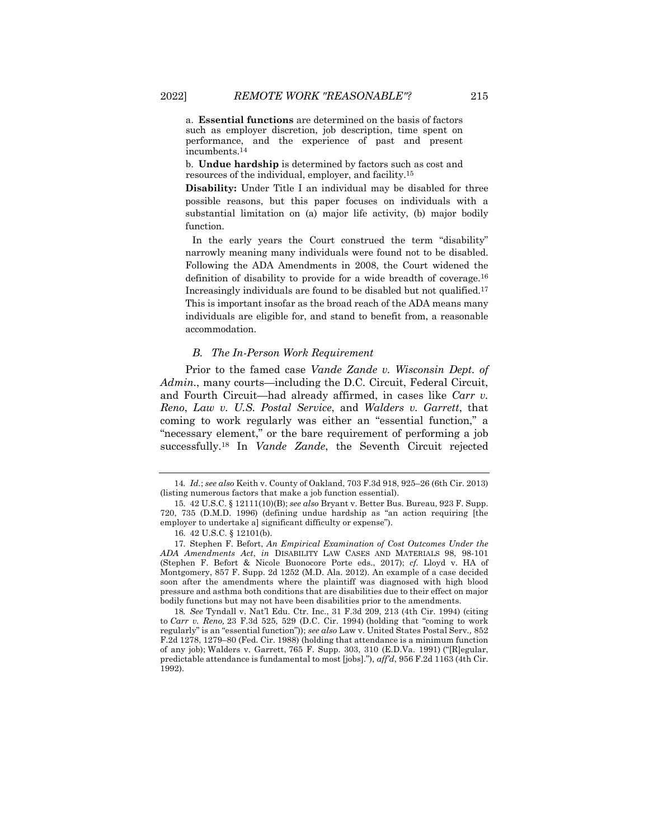a. **Essential functions** are determined on the basis of factors such as employer discretion, job description, time spent on performance, and the experience of past and present incumbents.14

b. **Undue hardship** is determined by factors such as cost and resources of the individual, employer, and facility.15

**Disability:** Under Title I an individual may be disabled for three possible reasons, but this paper focuses on individuals with a substantial limitation on (a) major life activity, (b) major bodily function.

In the early years the Court construed the term "disability" narrowly meaning many individuals were found not to be disabled. Following the ADA Amendments in 2008, the Court widened the definition of disability to provide for a wide breadth of coverage.16 Increasingly individuals are found to be disabled but not qualified.17 This is important insofar as the broad reach of the ADA means many individuals are eligible for, and stand to benefit from, a reasonable accommodation.

#### *B. The In-Person Work Requirement*

Prior to the famed case *Vande Zande v. Wisconsin Dept. of Admin.*, many courts—including the D.C. Circuit, Federal Circuit, and Fourth Circuit—had already affirmed, in cases like *Carr v. Reno*, *Law v. U.S. Postal Service*, and *Walders v. Garrett*, that coming to work regularly was either an "essential function," a "necessary element," or the bare requirement of performing a job successfully.18 In *Vande Zande*, the Seventh Circuit rejected

18*. See* Tyndall v. Nat'l Edu. Ctr. Inc., 31 F.3d 209, 213 (4th Cir. 1994) (citing to *Carr v. Reno,* 23 F.3d 525, 529 (D.C. Cir. 1994) (holding that "coming to work regularly" is an "essential function")); *see also* Law v. United States Postal Serv*.,* 852 F.2d 1278, 1279–80 (Fed. Cir. 1988) (holding that attendance is a minimum function of any job); Walders v. Garrett, 765 F. Supp. 303, 310 (E.D.Va. 1991) ("[R]egular, predictable attendance is fundamental to most [jobs]."), *aff'd*, 956 F.2d 1163 (4th Cir. 1992).

<sup>14</sup>*. Id.*; *see also* Keith v. County of Oakland, 703 F.3d 918, 925–26 (6th Cir. 2013) (listing numerous factors that make a job function essential).

<sup>15.</sup> 42 U.S.C. § 12111(10)(B); *see also* Bryant v. Better Bus. Bureau, 923 F. Supp. 720, 735 (D.M.D. 1996) (defining undue hardship as "an action requiring [the employer to undertake a] significant difficulty or expense").

<sup>16.</sup> 42 U.S.C. § 12101(b).

<sup>17.</sup> Stephen F. Befort, *An Empirical Examination of Cost Outcomes Under the ADA Amendments Act*, *in* DISABILITY LAW CASES AND MATERIALS 98, 98-101 (Stephen F. Befort & Nicole Buonocore Porte eds., 2017); *cf.* Lloyd v. HA of Montgomery, 857 F. Supp. 2d 1252 (M.D. Ala. 2012). An example of a case decided soon after the amendments where the plaintiff was diagnosed with high blood pressure and asthma both conditions that are disabilities due to their effect on major bodily functions but may not have been disabilities prior to the amendments.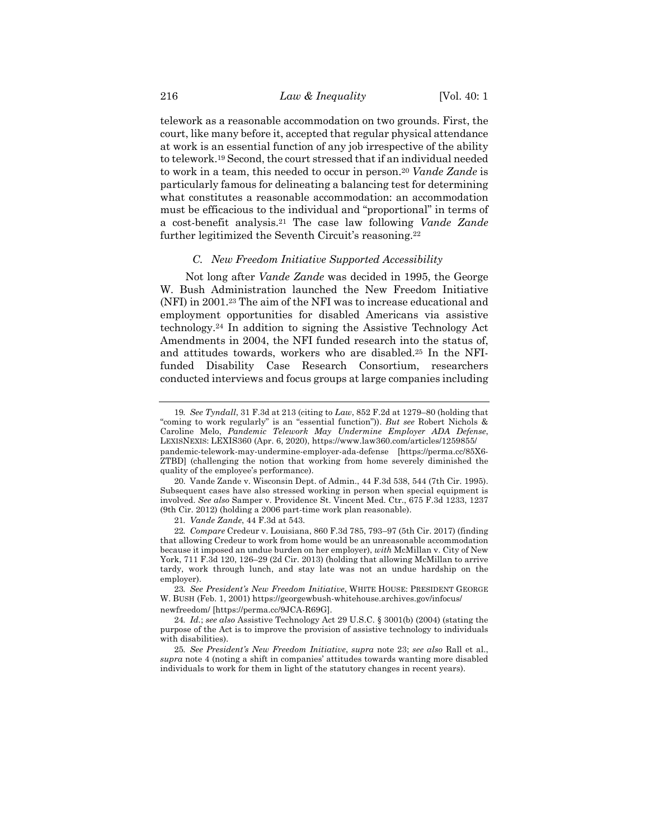telework as a reasonable accommodation on two grounds. First, the court, like many before it, accepted that regular physical attendance at work is an essential function of any job irrespective of the ability to telework.19 Second, the court stressed that if an individual needed to work in a team, this needed to occur in person.20 *Vande Zande* is particularly famous for delineating a balancing test for determining what constitutes a reasonable accommodation: an accommodation must be efficacious to the individual and "proportional" in terms of a cost-benefit analysis.21 The case law following *Vande Zande* further legitimized the Seventh Circuit's reasoning.<sup>22</sup>

#### *C. New Freedom Initiative Supported Accessibility*

Not long after *Vande Zande* was decided in 1995, the George W. Bush Administration launched the New Freedom Initiative (NFI) in 2001.23 The aim of the NFI was to increase educational and employment opportunities for disabled Americans via assistive technology.24 In addition to signing the Assistive Technology Act Amendments in 2004, the NFI funded research into the status of, and attitudes towards, workers who are disabled.25 In the NFIfunded Disability Case Research Consortium, researchers conducted interviews and focus groups at large companies including

<sup>19</sup>*. See Tyndall*, 31 F.3d at 213 (citing to *Law*, 852 F.2d at 1279–80 (holding that "coming to work regularly" is an "essential function")). *But see* Robert Nichols & Caroline Melo, *Pandemic Telework May Undermine Employer ADA Defense*, LEXISNEXIS: LEXIS360 (Apr. 6, 2020), https://www.law360.com/articles/1259855/ pandemic-telework-may-undermine-employer-ada-defense [https://perma.cc/85X6- ZTBD] (challenging the notion that working from home severely diminished the quality of the employee's performance).

<sup>20.</sup> Vande Zande v. Wisconsin Dept. of Admin., 44 F.3d 538, 544 (7th Cir. 1995). Subsequent cases have also stressed working in person when special equipment is involved. *See also* Samper v. Providence St. Vincent Med. Ctr., 675 F.3d 1233, 1237 (9th Cir. 2012) (holding a 2006 part-time work plan reasonable).

<sup>21</sup>*. Vande Zande*, 44 F.3d at 543.

<sup>22</sup>*. Compare* Credeur v. Louisiana, 860 F.3d 785, 793–97 (5th Cir. 2017) (finding that allowing Credeur to work from home would be an unreasonable accommodation because it imposed an undue burden on her employer), *with* McMillan v. City of New York, 711 F.3d 120, 126–29 (2d Cir. 2013) (holding that allowing McMillan to arrive tardy, work through lunch, and stay late was not an undue hardship on the employer).

<sup>23</sup>*. See President's New Freedom Initiative*, WHITE HOUSE: PRESIDENT GEORGE W. BUSH (Feb. 1, 2001) https://georgewbush-whitehouse.archives.gov/infocus/ newfreedom/ [https://perma.cc/9JCA-R69G].

<sup>24</sup>*. Id.*; *see also* Assistive Technology Act 29 U.S.C. § 3001(b) (2004) (stating the purpose of the Act is to improve the provision of assistive technology to individuals with disabilities).

<sup>25</sup>*. See President's New Freedom Initiative*, *supra* note 23; *see also* Rall et al., *supra* note 4 (noting a shift in companies' attitudes towards wanting more disabled individuals to work for them in light of the statutory changes in recent years).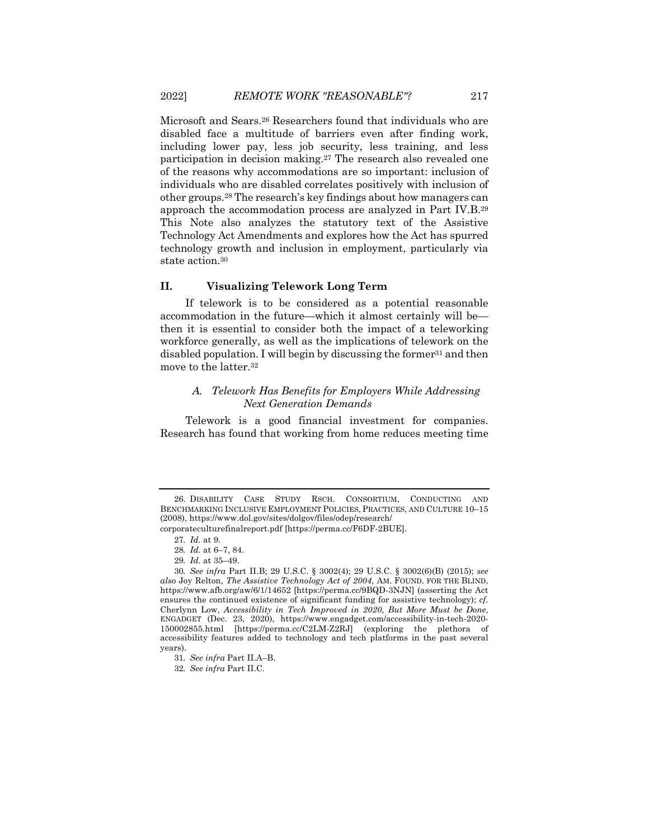Microsoft and Sears.26 Researchers found that individuals who are disabled face a multitude of barriers even after finding work, including lower pay, less job security, less training, and less participation in decision making.27 The research also revealed one of the reasons why accommodations are so important: inclusion of individuals who are disabled correlates positively with inclusion of other groups.28 The research's key findings about how managers can approach the accommodation process are analyzed in Part IV.B.29 This Note also analyzes the statutory text of the Assistive Technology Act Amendments and explores how the Act has spurred technology growth and inclusion in employment, particularly via state action.30

#### **II. Visualizing Telework Long Term**

If telework is to be considered as a potential reasonable accommodation in the future—which it almost certainly will be then it is essential to consider both the impact of a teleworking workforce generally, as well as the implications of telework on the disabled population. I will begin by discussing the former<sup>31</sup> and then move to the latter.32

## *A. Telework Has Benefits for Employers While Addressing Next Generation Demands*

Telework is a good financial investment for companies. Research has found that working from home reduces meeting time

<sup>26.</sup> DISABILITY CASE STUDY RSCH. CONSORTIUM, CONDUCTING AND BENCHMARKING INCLUSIVE EMPLOYMENT POLICIES, PRACTICES, AND CULTURE 10–15 (2008), https://www.dol.gov/sites/dolgov/files/odep/research/

corporateculturefinalreport.pdf [https://perma.cc/F6DF-2BUE].

<sup>27</sup>*. Id.* at 9.

<sup>28</sup>*. Id.* at 6–7, 84.

<sup>29</sup>*. Id.* at 35–49.

<sup>30</sup>*. See infra* Part II.B; 29 U.S.C. § 3002(4); 29 U.S.C. § 3002(6)(B) (2015); *see also* Joy Relton, *The Assistive Technology Act of 2004*, AM. FOUND. FOR THE BLIND, https://www.afb.org/aw/6/1/14652 [https://perma.cc/9BQD-3NJN] (asserting the Act ensures the continued existence of significant funding for assistive technology); *cf.*  Cherlynn Low, *Accessibility in Tech Improved in 2020, But More Must be Done*, ENGADGET (Dec. 23, 2020), https://www.engadget.com/accessibility-in-tech-2020- 150002855.html [https://perma.cc/C2LM-Z2RJ] (exploring the plethora of accessibility features added to technology and tech platforms in the past several years).

<sup>31</sup>*. See infra* Part II.A–B.

<sup>32</sup>*. See infra* Part II.C.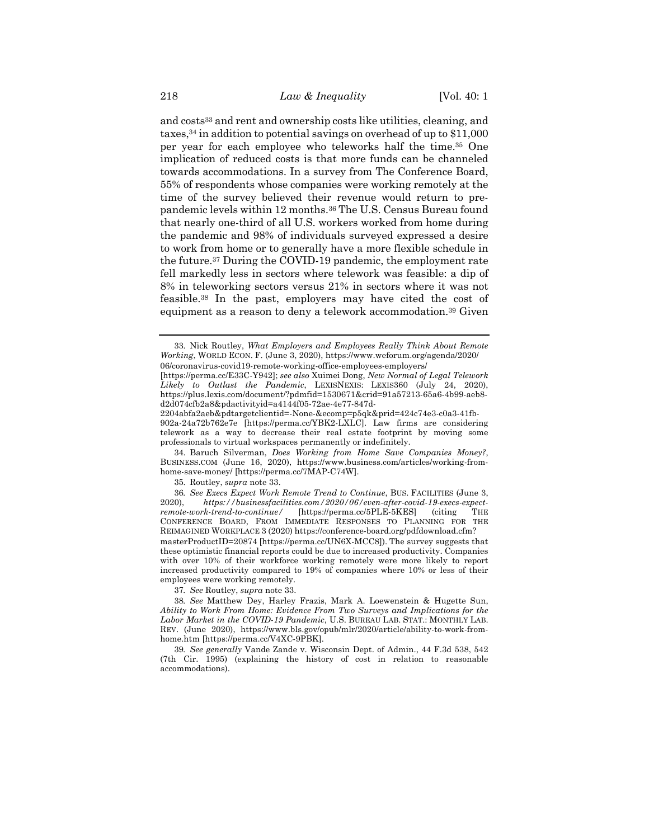and costs<sup>33</sup> and rent and ownership costs like utilities, cleaning, and taxes,34 in addition to potential savings on overhead of up to \$11,000 per year for each employee who teleworks half the time.35 One implication of reduced costs is that more funds can be channeled towards accommodations. In a survey from The Conference Board, 55% of respondents whose companies were working remotely at the time of the survey believed their revenue would return to prepandemic levels within 12 months.36 The U.S. Census Bureau found that nearly one-third of all U.S. workers worked from home during the pandemic and 98% of individuals surveyed expressed a desire to work from home or to generally have a more flexible schedule in the future.37 During the COVID-19 pandemic, the employment rate fell markedly less in sectors where telework was feasible: a dip of 8% in teleworking sectors versus 21% in sectors where it was not feasible.38 In the past, employers may have cited the cost of equipment as a reason to deny a telework accommodation.39 Given

34. Baruch Silverman, *Does Working from Home Save Companies Money?*, BUSINESS.COM (June 16, 2020), https://www.business.com/articles/working-fromhome-save-money/ [https://perma.cc/7MAP-C74W].

35. Routley, *supra* note 33.

36*. See Execs Expect Work Remote Trend to Continue*, BUS. FACILITIES (June 3, 2020), *https://businessfacilities.com/2020/06/even-after-covid-19-execs-expectremote-work-trend-to-continue/* [https://perma.cc/5PLE-5KES] (citing THE CONFERENCE BOARD, FROM IMMEDIATE RESPONSES TO PLANNING FOR THE REIMAGINED WORKPLACE 3 (2020) https://conference-board.org/pdfdownload.cfm? masterProductID=20874 [https://perma.cc/UN6X-MCC8]). The survey suggests that these optimistic financial reports could be due to increased productivity. Companies with over 10% of their workforce working remotely were more likely to report increased productivity compared to 19% of companies where 10% or less of their employees were working remotely.

37*. See* Routley, *supra* note 33.

38*. See* Matthew Dey, Harley Frazis, Mark A. Loewenstein & Hugette Sun, *Ability to Work From Home: Evidence From Two Surveys and Implications for the Labor Market in the COVID-19 Pandemic*, U.S. BUREAU LAB. STAT.: MONTHLY LAB. REV. (June 2020), https://www.bls.gov/opub/mlr/2020/article/ability-to-work-fromhome.htm [https://perma.cc/V4XC-9PBK].

39*. See generally* Vande Zande v. Wisconsin Dept. of Admin., 44 F.3d 538, 542 (7th Cir. 1995) (explaining the history of cost in relation to reasonable accommodations).

<sup>33.</sup> Nick Routley, *What Employers and Employees Really Think About Remote Working*, WORLD ECON. F. (June 3, 2020), https://www.weforum.org/agenda/2020/ 06/coronavirus-covid19-remote-working-office-employees-employers/

<sup>[</sup>https://perma.cc/E33C-Y942]; *see also* Xuimei Dong, *New Normal of Legal Telework Likely to Outlast the Pandemic*, LEXISNEXIS: LEXIS360 (July 24, 2020), https://plus.lexis.com/document/?pdmfid=1530671&crid=91a57213-65a6-4b99-aeb8 d2d074cfb2a8&pdactivityid=a4144f05-72ae-4e77-847d-

<sup>2204</sup>abfa2aeb&pdtargetclientid=-None-&ecomp=p5qk&prid=424c74e3-c0a3-41fb-902a-24a72b762e7e [https://perma.cc/YBK2-LXLC]. Law firms are considering telework as a way to decrease their real estate footprint by moving some professionals to virtual workspaces permanently or indefinitely.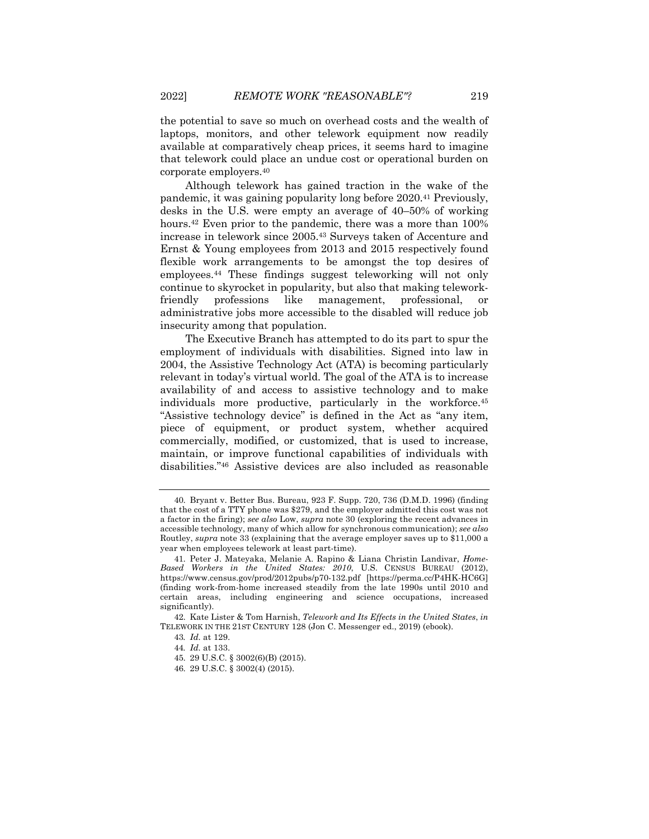the potential to save so much on overhead costs and the wealth of laptops, monitors, and other telework equipment now readily available at comparatively cheap prices, it seems hard to imagine that telework could place an undue cost or operational burden on corporate employers.40

Although telework has gained traction in the wake of the pandemic, it was gaining popularity long before 2020.41 Previously, desks in the U.S. were empty an average of 40–50% of working hours.<sup>42</sup> Even prior to the pandemic, there was a more than 100% increase in telework since 2005.43 Surveys taken of Accenture and Ernst & Young employees from 2013 and 2015 respectively found flexible work arrangements to be amongst the top desires of employees.44 These findings suggest teleworking will not only continue to skyrocket in popularity, but also that making teleworkfriendly professions like management, professional, or administrative jobs more accessible to the disabled will reduce job insecurity among that population.

The Executive Branch has attempted to do its part to spur the employment of individuals with disabilities. Signed into law in 2004, the Assistive Technology Act (ATA) is becoming particularly relevant in today's virtual world. The goal of the ATA is to increase availability of and access to assistive technology and to make individuals more productive, particularly in the workforce.<sup>45</sup> "Assistive technology device" is defined in the Act as "any item, piece of equipment, or product system, whether acquired commercially, modified, or customized, that is used to increase, maintain, or improve functional capabilities of individuals with disabilities."46 Assistive devices are also included as reasonable

<sup>40.</sup> Bryant v. Better Bus. Bureau, 923 F. Supp. 720, 736 (D.M.D. 1996) (finding that the cost of a TTY phone was \$279, and the employer admitted this cost was not a factor in the firing); *see also* Low, *supra* note 30 (exploring the recent advances in accessible technology, many of which allow for synchronous communication); *see also*  Routley, *supra* note 33 (explaining that the average employer saves up to \$11,000 a year when employees telework at least part-time).

<sup>41.</sup> Peter J. Mateyaka, Melanie A. Rapino & Liana Christin Landivar, *Home-Based Workers in the United States: 2010*, U.S. CENSUS BUREAU (2012), https://www.census.gov/prod/2012pubs/p70-132.pdf [https://perma.cc/P4HK-HC6G] (finding work-from-home increased steadily from the late 1990s until 2010 and certain areas, including engineering and science occupations, increased significantly).

<sup>42.</sup> Kate Lister & Tom Harnish, *Telework and Its Effects in the United States*, *in*  TELEWORK IN THE 21ST CENTURY 128 (Jon C. Messenger ed., 2019) (ebook).

<sup>43</sup>*. Id.* at 129.

<sup>44</sup>*. Id.* at 133.

<sup>45.</sup> 29 U.S.C. § 3002(6)(B) (2015).

<sup>46.</sup> 29 U.S.C. § 3002(4) (2015).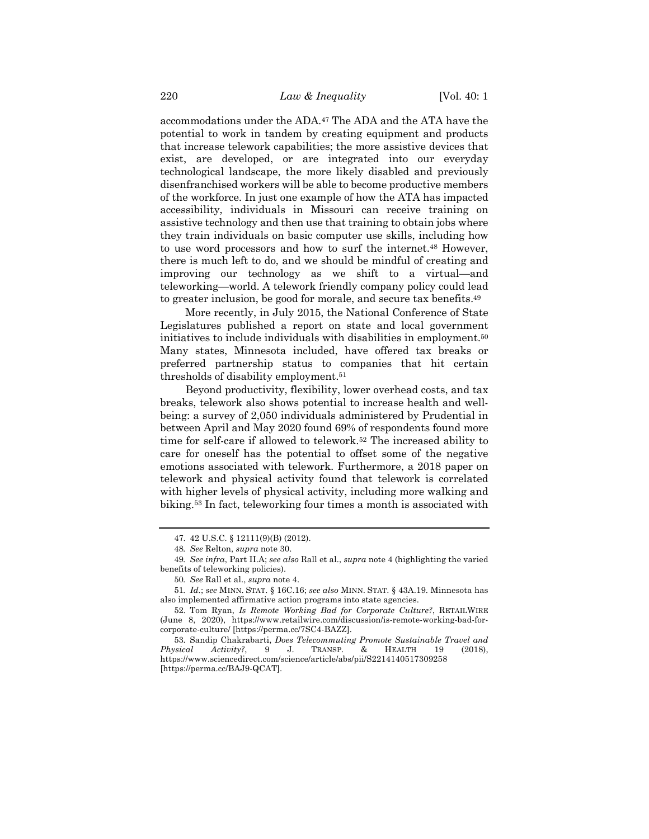accommodations under the ADA.47 The ADA and the ATA have the potential to work in tandem by creating equipment and products that increase telework capabilities; the more assistive devices that exist, are developed, or are integrated into our everyday technological landscape, the more likely disabled and previously disenfranchised workers will be able to become productive members of the workforce. In just one example of how the ATA has impacted accessibility, individuals in Missouri can receive training on assistive technology and then use that training to obtain jobs where they train individuals on basic computer use skills, including how to use word processors and how to surf the internet.48 However, there is much left to do, and we should be mindful of creating and improving our technology as we shift to a virtual—and teleworking—world. A telework friendly company policy could lead to greater inclusion, be good for morale, and secure tax benefits.49

More recently, in July 2015, the National Conference of State Legislatures published a report on state and local government initiatives to include individuals with disabilities in employment.50 Many states, Minnesota included, have offered tax breaks or preferred partnership status to companies that hit certain thresholds of disability employment.51

Beyond productivity, flexibility, lower overhead costs, and tax breaks, telework also shows potential to increase health and wellbeing: a survey of 2,050 individuals administered by Prudential in between April and May 2020 found 69% of respondents found more time for self-care if allowed to telework.52 The increased ability to care for oneself has the potential to offset some of the negative emotions associated with telework. Furthermore, a 2018 paper on telework and physical activity found that telework is correlated with higher levels of physical activity, including more walking and biking.53 In fact, teleworking four times a month is associated with

<sup>47.</sup> 42 U.S.C. § 12111(9)(B) (2012).

<sup>48</sup>*. See* Relton, *supra* note 30.

<sup>49</sup>*. See infra*, Part II.A; *see also* Rall et al., *supra* note 4 (highlighting the varied benefits of teleworking policies).

<sup>50</sup>*. See* Rall et al., *supra* note 4.

<sup>51</sup>*. Id.*; *see* MINN. STAT. § 16C.16; *see also* MINN. STAT. § 43A.19. Minnesota has also implemented affirmative action programs into state agencies.

<sup>52.</sup> Tom Ryan, *Is Remote Working Bad for Corporate Culture?*, RETAILWIRE (June 8, 2020), https://www.retailwire.com/discussion/is-remote-working-bad-forcorporate-culture/ [https://perma.cc/7SC4-BAZZ].

<sup>53.</sup> Sandip Chakrabarti, *Does Telecommuting Promote Sustainable Travel and Physical Activity?*, 9 J. TRANSP. & HEALTH 19 (2018), https://www.sciencedirect.com/science/article/abs/pii/S2214140517309258 [https://perma.cc/BAJ9-QCAT].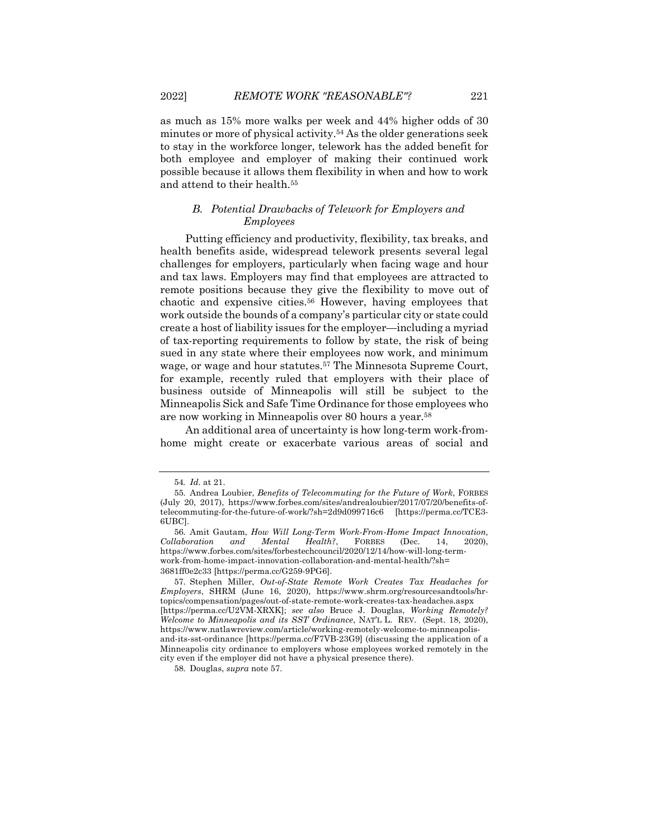as much as 15% more walks per week and 44% higher odds of 30 minutes or more of physical activity.54 As the older generations seek to stay in the workforce longer, telework has the added benefit for both employee and employer of making their continued work possible because it allows them flexibility in when and how to work and attend to their health.55

# *B. Potential Drawbacks of Telework for Employers and Employees*

Putting efficiency and productivity, flexibility, tax breaks, and health benefits aside, widespread telework presents several legal challenges for employers, particularly when facing wage and hour and tax laws. Employers may find that employees are attracted to remote positions because they give the flexibility to move out of chaotic and expensive cities.56 However, having employees that work outside the bounds of a company's particular city or state could create a host of liability issues for the employer—including a myriad of tax-reporting requirements to follow by state, the risk of being sued in any state where their employees now work, and minimum wage, or wage and hour statutes.57 The Minnesota Supreme Court, for example, recently ruled that employers with their place of business outside of Minneapolis will still be subject to the Minneapolis Sick and Safe Time Ordinance for those employees who are now working in Minneapolis over 80 hours a year.58

An additional area of uncertainty is how long-term work-fromhome might create or exacerbate various areas of social and

<sup>54</sup>*. Id.* at 21.

<sup>55.</sup> Andrea Loubier, *Benefits of Telecommuting for the Future of Work*, FORBES (July 20, 2017), https://www.forbes.com/sites/andrealoubier/2017/07/20/benefits-oftelecommuting-for-the-future-of-work/?sh=2d9d099716c6 [https://perma.cc/TCE3- 6UBC].

<sup>56.</sup> Amit Gautam, *How Will Long-Term Work-From-Home Impact Innovation, Collaboration and Mental Health?*, FORBES (Dec. 14, 2020), https://www.forbes.com/sites/forbestechcouncil/2020/12/14/how-will-long-termwork-from-home-impact-innovation-collaboration-and-mental-health/?sh= 3681ff0e2c33 [https://perma.cc/G259-9PG6].

<sup>57.</sup> Stephen Miller, *Out-of-State Remote Work Creates Tax Headaches for Employers*, SHRM (June 16, 2020), https://www.shrm.org/resourcesandtools/hrtopics/compensation/pages/out-of-state-remote-work-creates-tax-headaches.aspx [https://perma.cc/U2VM-XRXK]; *see also* Bruce J. Douglas, *Working Remotely? Welcome to Minneapolis and its SST Ordinance*, NAT'L L. REV. (Sept. 18, 2020), https://www.natlawreview.com/article/working-remotely-welcome-to-minneapolisand-its-sst-ordinance [https://perma.cc/F7VB-23G9] (discussing the application of a Minneapolis city ordinance to employers whose employees worked remotely in the city even if the employer did not have a physical presence there).

<sup>58.</sup> Douglas, *supra* note 57.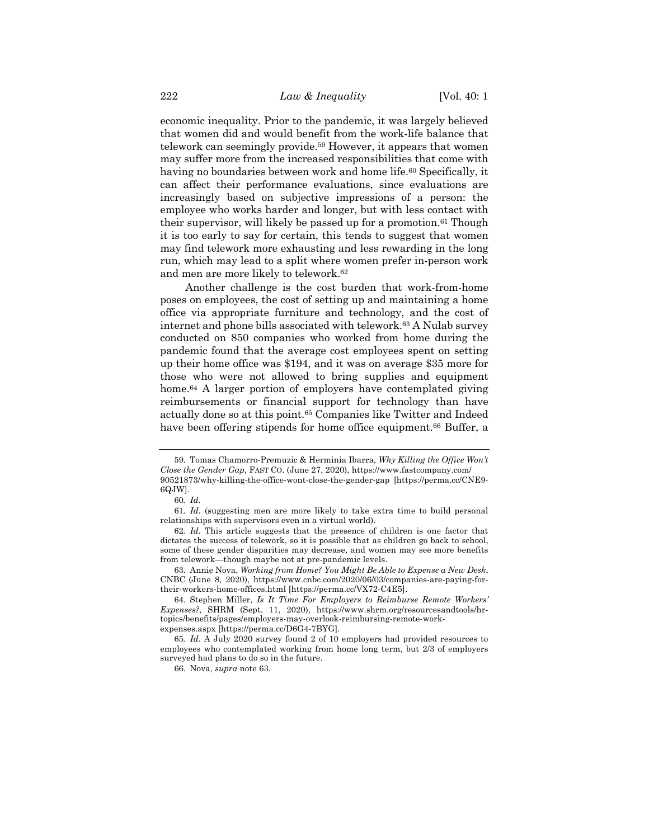economic inequality. Prior to the pandemic, it was largely believed that women did and would benefit from the work-life balance that telework can seemingly provide.59 However, it appears that women may suffer more from the increased responsibilities that come with having no boundaries between work and home life.<sup>60</sup> Specifically, it can affect their performance evaluations, since evaluations are increasingly based on subjective impressions of a person: the employee who works harder and longer, but with less contact with their supervisor, will likely be passed up for a promotion.61 Though it is too early to say for certain, this tends to suggest that women may find telework more exhausting and less rewarding in the long run, which may lead to a split where women prefer in-person work and men are more likely to telework.62

Another challenge is the cost burden that work-from-home poses on employees, the cost of setting up and maintaining a home office via appropriate furniture and technology, and the cost of internet and phone bills associated with telework.63 A Nulab survey conducted on 850 companies who worked from home during the pandemic found that the average cost employees spent on setting up their home office was \$194, and it was on average \$35 more for those who were not allowed to bring supplies and equipment home.<sup>64</sup> A larger portion of employers have contemplated giving reimbursements or financial support for technology than have actually done so at this point.65 Companies like Twitter and Indeed have been offering stipends for home office equipment.<sup>66</sup> Buffer, a

<sup>59.</sup> Tomas Chamorro-Premuzic & Herminia Ibarra, *Why Killing the Office Won't Close the Gender Gap*, FAST CO. (June 27, 2020), https://www.fastcompany.com/ 90521873/why-killing-the-office-wont-close-the-gender-gap [https://perma.cc/CNE9- 6QJW].

<sup>60</sup>*. Id.*

<sup>61</sup>*. Id.* (suggesting men are more likely to take extra time to build personal relationships with supervisors even in a virtual world).

<sup>62</sup>*. Id.* This article suggests that the presence of children is one factor that dictates the success of telework, so it is possible that as children go back to school, some of these gender disparities may decrease, and women may see more benefits from telework—though maybe not at pre-pandemic levels.

<sup>63.</sup> Annie Nova, *Working from Home? You Might Be Able to Expense a New Desk*, CNBC (June 8, 2020), https://www.cnbc.com/2020/06/03/companies-are-paying-fortheir-workers-home-offices.html [https://perma.cc/VX72-C4E5].

<sup>64.</sup> Stephen Miller, *Is It Time For Employers to Reimburse Remote Workers' Expenses?*, SHRM (Sept. 11, 2020), https://www.shrm.org/resourcesandtools/hrtopics/benefits/pages/employers-may-overlook-reimbursing-remote-workexpenses.aspx [https://perma.cc/D6G4-7BYG].

<sup>65</sup>*. Id.* A July 2020 survey found 2 of 10 employers had provided resources to employees who contemplated working from home long term, but 2/3 of employers surveyed had plans to do so in the future.

<sup>66.</sup> Nova, *supra* note 63*.*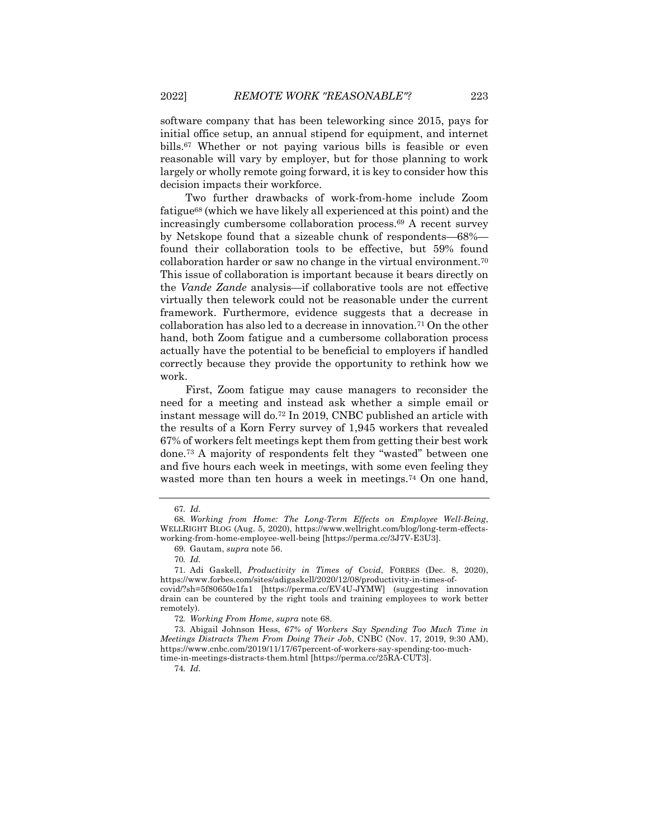software company that has been teleworking since 2015, pays for initial office setup, an annual stipend for equipment, and internet bills.67 Whether or not paying various bills is feasible or even reasonable will vary by employer, but for those planning to work largely or wholly remote going forward, it is key to consider how this decision impacts their workforce.

Two further drawbacks of work-from-home include Zoom fatigue68 (which we have likely all experienced at this point) and the increasingly cumbersome collaboration process.69 A recent survey by Netskope found that a sizeable chunk of respondents—68% found their collaboration tools to be effective, but 59% found collaboration harder or saw no change in the virtual environment.70 This issue of collaboration is important because it bears directly on the *Vande Zande* analysis—if collaborative tools are not effective virtually then telework could not be reasonable under the current framework. Furthermore, evidence suggests that a decrease in collaboration has also led to a decrease in innovation.71 On the other hand, both Zoom fatigue and a cumbersome collaboration process actually have the potential to be beneficial to employers if handled correctly because they provide the opportunity to rethink how we work.

First, Zoom fatigue may cause managers to reconsider the need for a meeting and instead ask whether a simple email or instant message will do.72 In 2019, CNBC published an article with the results of a Korn Ferry survey of 1,945 workers that revealed 67% of workers felt meetings kept them from getting their best work done.73 A majority of respondents felt they "wasted" between one and five hours each week in meetings, with some even feeling they wasted more than ten hours a week in meetings.<sup>74</sup> On one hand,

74*. Id.*

<sup>67</sup>*. Id.*

<sup>68</sup>*. Working from Home: The Long-Term Effects on Employee Well-Being*, WELLRIGHT BLOG (Aug. 5, 2020), https://www.wellright.com/blog/long-term-effectsworking-from-home-employee-well-being [https://perma.cc/3J7V-E3U3].

<sup>69.</sup> Gautam, *supra* note 56.

<sup>70</sup>*. Id.*

<sup>71.</sup> Adi Gaskell, *Productivity in Times of Covid*, FORBES (Dec. 8, 2020), https://www.forbes.com/sites/adigaskell/2020/12/08/productivity-in-times-ofcovid/?sh=5f80650e1fa1 [https://perma.cc/EV4U-JYMW] (suggesting innovation drain can be countered by the right tools and training employees to work better remotely).

<sup>72</sup>*. Working From Home*, *supra* note 68.

<sup>73.</sup> Abigail Johnson Hess, *67% of Workers Say Spending Too Much Time in Meetings Distracts Them From Doing Their Job*, CNBC (Nov. 17, 2019, 9:30 AM), https://www.cnbc.com/2019/11/17/67percent-of-workers-say-spending-too-muchtime-in-meetings-distracts-them.html [https://perma.cc/25RA-CUT3].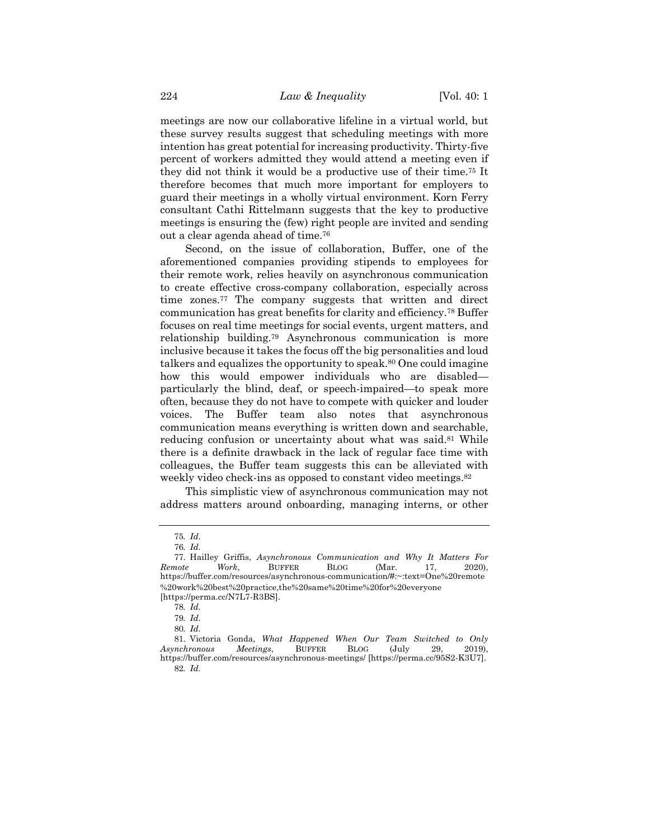meetings are now our collaborative lifeline in a virtual world, but these survey results suggest that scheduling meetings with more intention has great potential for increasing productivity. Thirty-five percent of workers admitted they would attend a meeting even if they did not think it would be a productive use of their time.75 It therefore becomes that much more important for employers to guard their meetings in a wholly virtual environment. Korn Ferry consultant Cathi Rittelmann suggests that the key to productive meetings is ensuring the (few) right people are invited and sending out a clear agenda ahead of time.76

Second, on the issue of collaboration, Buffer, one of the aforementioned companies providing stipends to employees for their remote work, relies heavily on asynchronous communication to create effective cross-company collaboration, especially across time zones.77 The company suggests that written and direct communication has great benefits for clarity and efficiency.78 Buffer focuses on real time meetings for social events, urgent matters, and relationship building.79 Asynchronous communication is more inclusive because it takes the focus off the big personalities and loud talkers and equalizes the opportunity to speak.80 One could imagine how this would empower individuals who are disabled particularly the blind, deaf, or speech-impaired—to speak more often, because they do not have to compete with quicker and louder voices. The Buffer team also notes that asynchronous communication means everything is written down and searchable, reducing confusion or uncertainty about what was said.<sup>81</sup> While there is a definite drawback in the lack of regular face time with colleagues, the Buffer team suggests this can be alleviated with weekly video check-ins as opposed to constant video meetings.<sup>82</sup>

This simplistic view of asynchronous communication may not address matters around onboarding, managing interns, or other

<sup>75</sup>*. Id.*

<sup>76</sup>*. Id.*

<sup>77.</sup> Hailley Griffis, *Asynchronous Communication and Why It Matters For Remote Work*, BUFFER BLOG (Mar. 17, 2020), https://buffer.com/resources/asynchronous-communication/#:~:text=One%20remote %20work%20best%20practice,the%20same%20time%20for%20everyone [https://perma.cc/N7L7-R3BS].

<sup>78</sup>*. Id.*

<sup>79</sup>*. Id.*

<sup>80</sup>*. Id.*

<sup>81.</sup> Victoria Gonda, *What Happened When Our Team Switched to Only Asynchronous Meetings*, BUFFER BLOG (July 29, 2019), https://buffer.com/resources/asynchronous-meetings/ [https://perma.cc/95S2-K3U7]. 82*. Id.*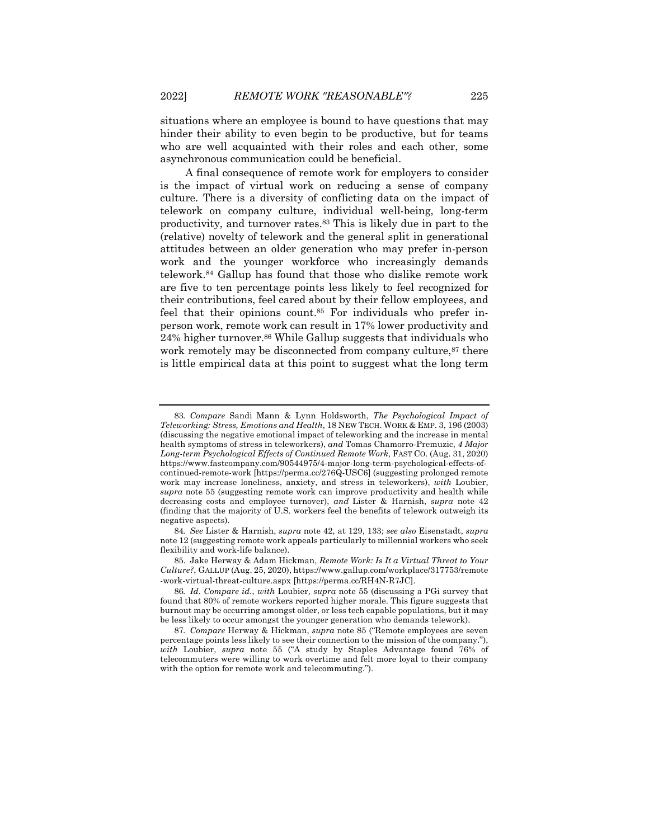situations where an employee is bound to have questions that may hinder their ability to even begin to be productive, but for teams who are well acquainted with their roles and each other, some asynchronous communication could be beneficial.

A final consequence of remote work for employers to consider is the impact of virtual work on reducing a sense of company culture. There is a diversity of conflicting data on the impact of telework on company culture, individual well-being, long-term productivity, and turnover rates.83 This is likely due in part to the (relative) novelty of telework and the general split in generational attitudes between an older generation who may prefer in-person work and the younger workforce who increasingly demands telework.84 Gallup has found that those who dislike remote work are five to ten percentage points less likely to feel recognized for their contributions, feel cared about by their fellow employees, and feel that their opinions count.85 For individuals who prefer inperson work, remote work can result in 17% lower productivity and 24% higher turnover.86 While Gallup suggests that individuals who work remotely may be disconnected from company culture,<sup>87</sup> there is little empirical data at this point to suggest what the long term

<sup>83</sup>*. Compare* Sandi Mann & Lynn Holdsworth, *The Psychological Impact of Teleworking: Stress, Emotions and Health*, 18 NEW TECH. WORK & EMP. 3, 196 (2003) (discussing the negative emotional impact of teleworking and the increase in mental health symptoms of stress in teleworkers), *and* Tomas Chamorro-Premuzic, *4 Major Long-term Psychological Effects of Continued Remote Work*, FAST CO. (Aug. 31, 2020) https://www.fastcompany.com/90544975/4-major-long-term-psychological-effects-ofcontinued-remote-work [https://perma.cc/276Q-USC6] (suggesting prolonged remote work may increase loneliness, anxiety, and stress in teleworkers), *with* Loubier, *supra* note 55 (suggesting remote work can improve productivity and health while decreasing costs and employee turnover), *and* Lister & Harnish, *supra* note 42 (finding that the majority of U.S. workers feel the benefits of telework outweigh its negative aspects).

<sup>84</sup>*. See* Lister & Harnish, *supra* note 42, at 129, 133; *see also* Eisenstadt, *supra*  note 12 (suggesting remote work appeals particularly to millennial workers who seek flexibility and work-life balance).

<sup>85.</sup> Jake Herway & Adam Hickman, *Remote Work: Is It a Virtual Threat to Your Culture?*, GALLUP (Aug. 25, 2020), https://www.gallup.com/workplace/317753/remote -work-virtual-threat-culture.aspx [https://perma.cc/RH4N-R7JC].

<sup>86</sup>*. Id. Compare id.*, *with* Loubier*, supra* note 55 (discussing a PGi survey that found that 80% of remote workers reported higher morale. This figure suggests that burnout may be occurring amongst older, or less tech capable populations, but it may be less likely to occur amongst the younger generation who demands telework).

<sup>87</sup>*. Compare* Herway & Hickman, *supra* note 85 ("Remote employees are seven percentage points less likely to see their connection to the mission of the company."), *with* Loubier, *supra* note 55 ("A study by Staples Advantage found 76% of telecommuters were willing to work overtime and felt more loyal to their company with the option for remote work and telecommuting.").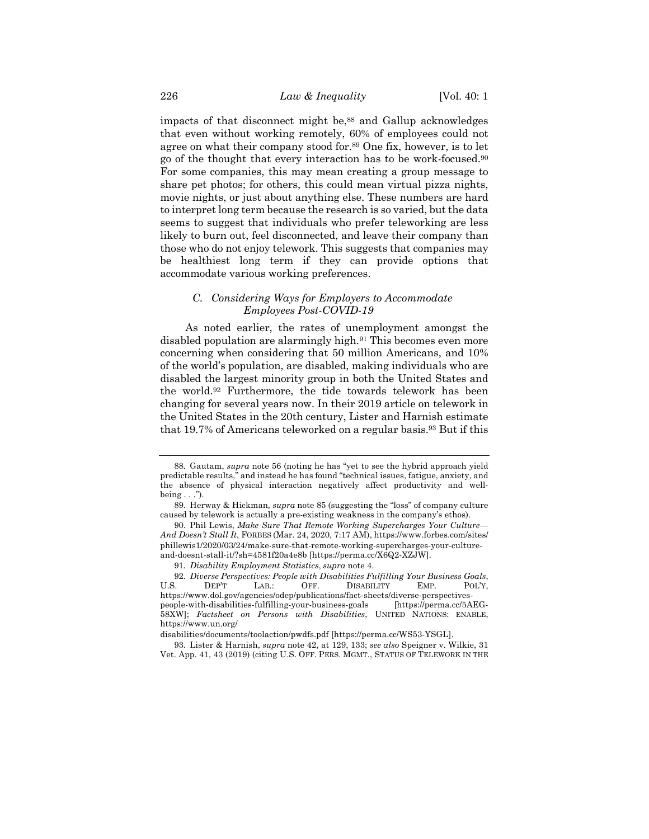impacts of that disconnect might be,<sup>88</sup> and Gallup acknowledges that even without working remotely, 60% of employees could not agree on what their company stood for.89 One fix, however, is to let go of the thought that every interaction has to be work-focused.90 For some companies, this may mean creating a group message to share pet photos; for others, this could mean virtual pizza nights, movie nights, or just about anything else. These numbers are hard to interpret long term because the research is so varied, but the data seems to suggest that individuals who prefer teleworking are less likely to burn out, feel disconnected, and leave their company than those who do not enjoy telework. This suggests that companies may be healthiest long term if they can provide options that accommodate various working preferences.

#### *C. Considering Ways for Employers to Accommodate Employees Post-COVID-19*

As noted earlier, the rates of unemployment amongst the disabled population are alarmingly high.91 This becomes even more concerning when considering that 50 million Americans, and 10% of the world's population, are disabled, making individuals who are disabled the largest minority group in both the United States and the world.92 Furthermore, the tide towards telework has been changing for several years now. In their 2019 article on telework in the United States in the 20th century, Lister and Harnish estimate that 19.7% of Americans teleworked on a regular basis.93 But if this

<sup>88.</sup> Gautam, *supra* note 56 (noting he has "yet to see the hybrid approach yield predictable results," and instead he has found "technical issues, fatigue, anxiety, and the absence of physical interaction negatively affect productivity and well $being \dots$ ").

<sup>89.</sup> Herway & Hickman*, supra* note 85 (suggesting the "loss" of company culture caused by telework is actually a pre-existing weakness in the company's ethos).

<sup>90.</sup> Phil Lewis, *Make Sure That Remote Working Supercharges Your Culture— And Doesn't Stall It*, FORBES (Mar. 24, 2020, 7:17 AM), https://www.forbes.com/sites/ phillewis1/2020/03/24/make-sure-that-remote-working-supercharges-your-cultureand-doesnt-stall-it/?sh=4581f20a4e8b [https://perma.cc/X6Q2-XZJW].

<sup>91.</sup> *Disability Employment Statistics*, *supra* note 4.

<sup>92.</sup> *Diverse Perspectives: People with Disabilities Fulfilling Your Business Goals*, U.S. DEP'T LAB.: OFF. DISABILITY EMP. POL'Y, https://www.dol.gov/agencies/odep/publications/fact-sheets/diverse-perspectivespeople-with-disabilities-fulfilling-your-business-goals 58XW]; *Factsheet on Persons with Disabilities*, UNITED NATIONS: ENABLE, https://www.un.org/

disabilities/documents/toolaction/pwdfs.pdf [https://perma.cc/WS53-YSGL].

<sup>93.</sup> Lister & Harnish, *supra* note 42, at 129, 133; *see also* Speigner v. Wilkie, 31 Vet. App. 41, 43 (2019) (citing U.S. OFF. PERS. MGMT., STATUS OF TELEWORK IN THE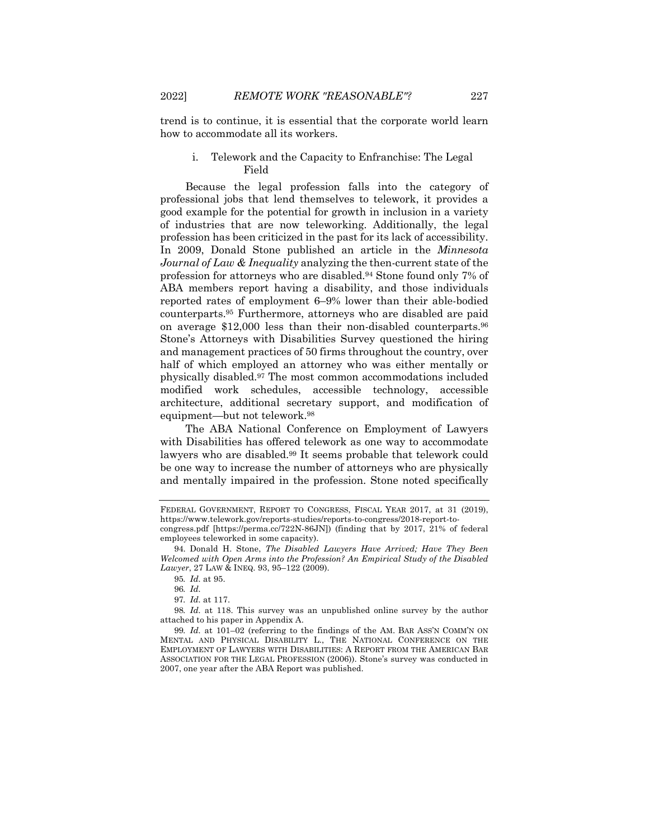trend is to continue, it is essential that the corporate world learn how to accommodate all its workers.

# i. Telework and the Capacity to Enfranchise: The Legal Field

Because the legal profession falls into the category of professional jobs that lend themselves to telework, it provides a good example for the potential for growth in inclusion in a variety of industries that are now teleworking. Additionally, the legal profession has been criticized in the past for its lack of accessibility. In 2009, Donald Stone published an article in the *Minnesota Journal of Law & Inequality* analyzing the then-current state of the profession for attorneys who are disabled.94 Stone found only 7% of ABA members report having a disability, and those individuals reported rates of employment 6–9% lower than their able-bodied counterparts.95 Furthermore, attorneys who are disabled are paid on average \$12,000 less than their non-disabled counterparts.96 Stone's Attorneys with Disabilities Survey questioned the hiring and management practices of 50 firms throughout the country, over half of which employed an attorney who was either mentally or physically disabled.97 The most common accommodations included modified work schedules, accessible technology, accessible architecture, additional secretary support, and modification of equipment—but not telework.98

The ABA National Conference on Employment of Lawyers with Disabilities has offered telework as one way to accommodate lawyers who are disabled.99 It seems probable that telework could be one way to increase the number of attorneys who are physically and mentally impaired in the profession. Stone noted specifically

98*. Id.* at 118. This survey was an unpublished online survey by the author attached to his paper in Appendix A.

99*. Id.* at 101–02 (referring to the findings of the AM. BAR ASS'N COMM'N ON MENTAL AND PHYSICAL DISABILITY L., THE NATIONAL CONFERENCE ON THE EMPLOYMENT OF LAWYERS WITH DISABILITIES: A REPORT FROM THE AMERICAN BAR ASSOCIATION FOR THE LEGAL PROFESSION (2006)). Stone's survey was conducted in 2007, one year after the ABA Report was published.

FEDERAL GOVERNMENT, REPORT TO CONGRESS, FISCAL YEAR 2017, at 31 (2019), https://www.telework.gov/reports-studies/reports-to-congress/2018-report-tocongress.pdf [https://perma.cc/722N-86JN]) (finding that by 2017, 21% of federal employees teleworked in some capacity).

<sup>94.</sup> Donald H. Stone, *The Disabled Lawyers Have Arrived; Have They Been Welcomed with Open Arms into the Profession? An Empirical Study of the Disabled Lawyer*, 27 LAW & INEQ. 93, 95–122 (2009).

<sup>95</sup>*. Id.* at 95.

<sup>96</sup>*. Id.*

<sup>97</sup>*. Id.* at 117.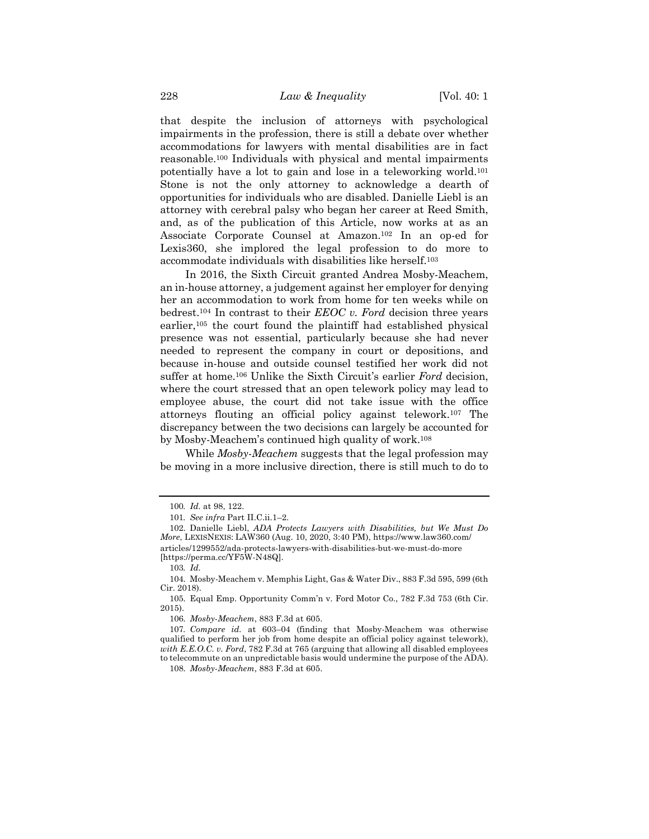that despite the inclusion of attorneys with psychological impairments in the profession, there is still a debate over whether accommodations for lawyers with mental disabilities are in fact reasonable.100 Individuals with physical and mental impairments potentially have a lot to gain and lose in a teleworking world.101 Stone is not the only attorney to acknowledge a dearth of opportunities for individuals who are disabled. Danielle Liebl is an attorney with cerebral palsy who began her career at Reed Smith, and, as of the publication of this Article, now works at as an Associate Corporate Counsel at Amazon.102 In an op-ed for Lexis360, she implored the legal profession to do more to accommodate individuals with disabilities like herself.103

In 2016, the Sixth Circuit granted Andrea Mosby-Meachem, an in-house attorney, a judgement against her employer for denying her an accommodation to work from home for ten weeks while on bedrest.104 In contrast to their *EEOC v. Ford* decision three years earlier,105 the court found the plaintiff had established physical presence was not essential, particularly because she had never needed to represent the company in court or depositions, and because in-house and outside counsel testified her work did not suffer at home.106 Unlike the Sixth Circuit's earlier *Ford* decision, where the court stressed that an open telework policy may lead to employee abuse, the court did not take issue with the office attorneys flouting an official policy against telework.107 The discrepancy between the two decisions can largely be accounted for by Mosby-Meachem's continued high quality of work.108

While *Mosby-Meachem* suggests that the legal profession may be moving in a more inclusive direction, there is still much to do to

103*. Id.*

<sup>100</sup>*. Id.* at 98, 122.

<sup>101</sup>*. See infra* Part II.C.ii.1–2.

<sup>102.</sup> Danielle Liebl, *ADA Protects Lawyers with Disabilities, but We Must Do More*, LEXISNEXIS: LAW360 (Aug. 10, 2020, 3:40 PM), https://www.law360.com/ articles/1299552/ada-protects-lawyers-with-disabilities-but-we-must-do-more [https://perma.cc/YF5W-N48Q].

<sup>104.</sup> Mosby-Meachem v. Memphis Light, Gas & Water Div., 883 F.3d 595, 599 (6th Cir. 2018).

<sup>105.</sup> Equal Emp. Opportunity Comm'n v. Ford Motor Co., 782 F.3d 753 (6th Cir. 2015).

<sup>106.</sup> *Mosby-Meachem*, 883 F.3d at 605.

<sup>107</sup>*. Compare id.* at 603–04 (finding that Mosby-Meachem was otherwise qualified to perform her job from home despite an official policy against telework), *with E.E.O.C. v. Ford*, 782 F.3d at 765 (arguing that allowing all disabled employees to telecommute on an unpredictable basis would undermine the purpose of the ADA).

<sup>108.</sup> *Mosby-Meachem*, 883 F.3d at 605.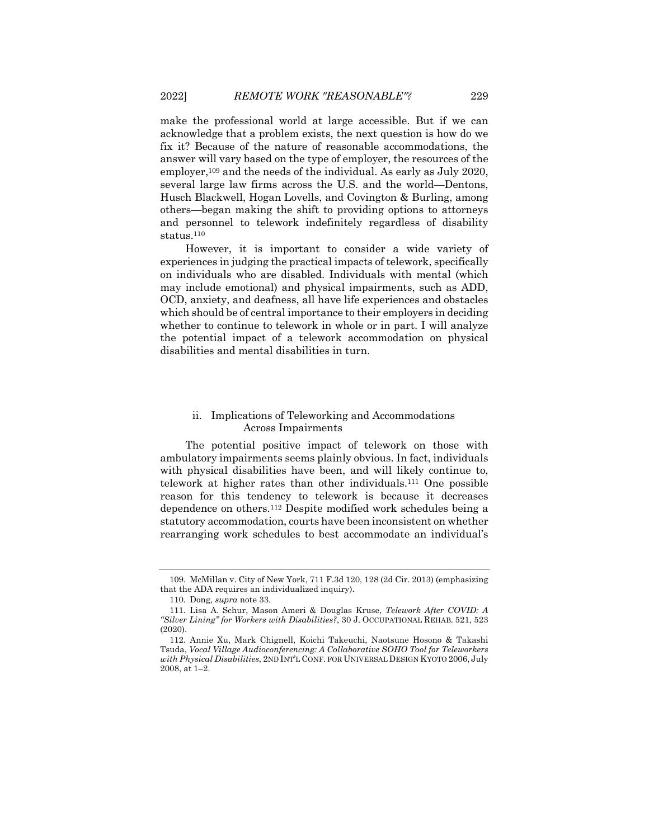make the professional world at large accessible. But if we can acknowledge that a problem exists, the next question is how do we fix it? Because of the nature of reasonable accommodations, the answer will vary based on the type of employer, the resources of the employer,<sup>109</sup> and the needs of the individual. As early as July 2020, several large law firms across the U.S. and the world—Dentons, Husch Blackwell, Hogan Lovells, and Covington & Burling, among others—began making the shift to providing options to attorneys and personnel to telework indefinitely regardless of disability status.110

However, it is important to consider a wide variety of experiences in judging the practical impacts of telework, specifically on individuals who are disabled. Individuals with mental (which may include emotional) and physical impairments, such as ADD, OCD, anxiety, and deafness, all have life experiences and obstacles which should be of central importance to their employers in deciding whether to continue to telework in whole or in part. I will analyze the potential impact of a telework accommodation on physical disabilities and mental disabilities in turn.

#### ii. Implications of Teleworking and Accommodations Across Impairments

The potential positive impact of telework on those with ambulatory impairments seems plainly obvious. In fact, individuals with physical disabilities have been, and will likely continue to, telework at higher rates than other individuals.111 One possible reason for this tendency to telework is because it decreases dependence on others.112 Despite modified work schedules being a statutory accommodation, courts have been inconsistent on whether rearranging work schedules to best accommodate an individual's

<sup>109.</sup> McMillan v. City of New York, 711 F.3d 120, 128 (2d Cir. 2013) (emphasizing that the ADA requires an individualized inquiry).

<sup>110.</sup> Dong, *supra* note 33.

<sup>111.</sup> Lisa A. Schur, Mason Ameri & Douglas Kruse, *Telework After COVID: A "Silver Lining" for Workers with Disabilities?*, 30 J. OCCUPATIONAL REHAB. 521, 523 (2020).

<sup>112.</sup> Annie Xu, Mark Chignell, Koichi Takeuchi, Naotsune Hosono & Takashi Tsuda, *Vocal Village Audioconferencing: A Collaborative SOHO Tool for Teleworkers with Physical Disabilities*, 2ND INT'L CONF. FOR UNIVERSAL DESIGN KYOTO 2006, July 2008, at 1–2.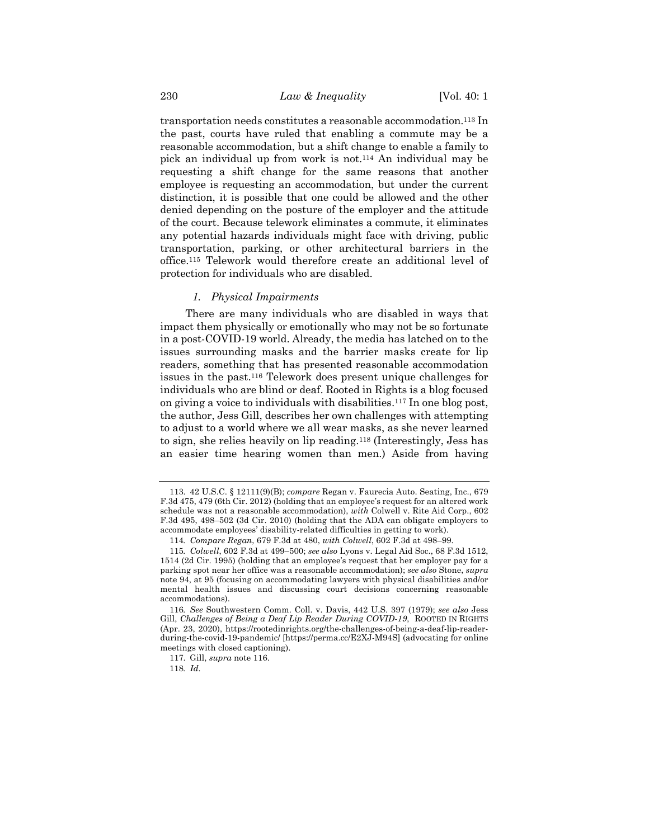transportation needs constitutes a reasonable accommodation.113 In the past, courts have ruled that enabling a commute may be a reasonable accommodation, but a shift change to enable a family to pick an individual up from work is not.114 An individual may be requesting a shift change for the same reasons that another employee is requesting an accommodation, but under the current distinction, it is possible that one could be allowed and the other denied depending on the posture of the employer and the attitude of the court. Because telework eliminates a commute, it eliminates any potential hazards individuals might face with driving, public transportation, parking, or other architectural barriers in the office.115 Telework would therefore create an additional level of protection for individuals who are disabled.

## *1. Physical Impairments*

There are many individuals who are disabled in ways that impact them physically or emotionally who may not be so fortunate in a post-COVID-19 world. Already, the media has latched on to the issues surrounding masks and the barrier masks create for lip readers, something that has presented reasonable accommodation issues in the past.116 Telework does present unique challenges for individuals who are blind or deaf. Rooted in Rights is a blog focused on giving a voice to individuals with disabilities.117 In one blog post, the author, Jess Gill, describes her own challenges with attempting to adjust to a world where we all wear masks, as she never learned to sign, she relies heavily on lip reading.118 (Interestingly, Jess has an easier time hearing women than men.) Aside from having

<sup>113.</sup> 42 U.S.C. § 12111(9)(B); *compare* Regan v. Faurecia Auto. Seating, Inc., 679 F.3d 475, 479 (6th Cir. 2012) (holding that an employee's request for an altered work schedule was not a reasonable accommodation), *with* Colwell v. Rite Aid Corp., 602 F.3d 495, 498–502 (3d Cir. 2010) (holding that the ADA can obligate employers to accommodate employees' disability-related difficulties in getting to work).

<sup>114</sup>*. Compare Regan*, 679 F.3d at 480, *with Colwell*, 602 F.3d at 498–99.

<sup>115</sup>*. Colwell*, 602 F.3d at 499–500; *see also* Lyons v. Legal Aid Soc., 68 F.3d 1512, 1514 (2d Cir. 1995) (holding that an employee's request that her employer pay for a parking spot near her office was a reasonable accommodation); *see also* Stone, *supra*  note 94, at 95 (focusing on accommodating lawyers with physical disabilities and/or mental health issues and discussing court decisions concerning reasonable accommodations).

<sup>116</sup>*. See* Southwestern Comm. Coll. v. Davis, 442 U.S. 397 (1979); *see also* Jess Gill, *Challenges of Being a Deaf Lip Reader During COVID-19*, ROOTED IN RIGHTS (Apr. 23, 2020), https://rootedinrights.org/the-challenges-of-being-a-deaf-lip-readerduring-the-covid-19-pandemic/ [https://perma.cc/E2XJ-M94S] (advocating for online meetings with closed captioning).

<sup>117.</sup> Gill, *supra* note 116.

<sup>118</sup>*. Id.*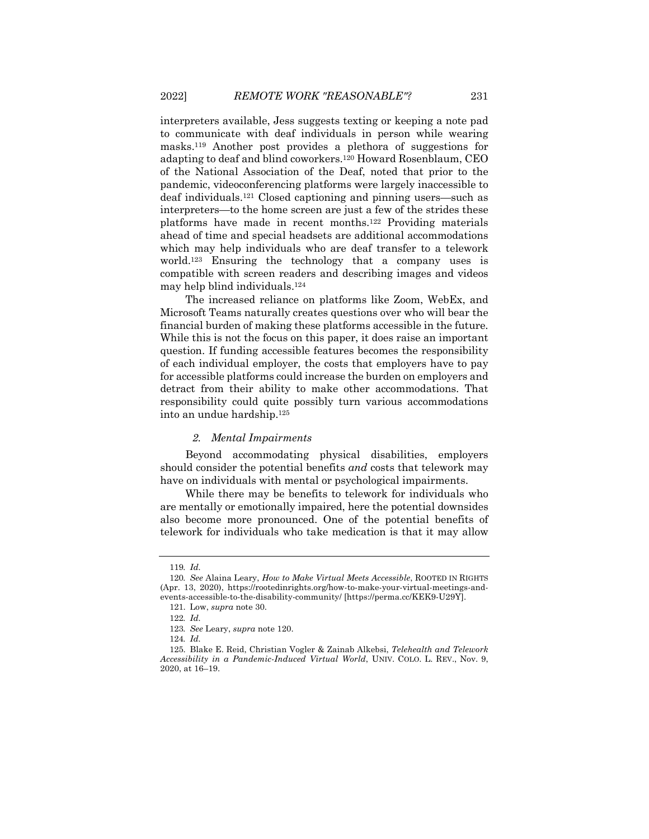interpreters available, Jess suggests texting or keeping a note pad to communicate with deaf individuals in person while wearing masks.119 Another post provides a plethora of suggestions for adapting to deaf and blind coworkers.120 Howard Rosenblaum, CEO of the National Association of the Deaf, noted that prior to the pandemic, videoconferencing platforms were largely inaccessible to deaf individuals.121 Closed captioning and pinning users—such as interpreters—to the home screen are just a few of the strides these platforms have made in recent months.122 Providing materials ahead of time and special headsets are additional accommodations which may help individuals who are deaf transfer to a telework world.123 Ensuring the technology that a company uses is compatible with screen readers and describing images and videos may help blind individuals.124

The increased reliance on platforms like Zoom, WebEx, and Microsoft Teams naturally creates questions over who will bear the financial burden of making these platforms accessible in the future. While this is not the focus on this paper, it does raise an important question. If funding accessible features becomes the responsibility of each individual employer, the costs that employers have to pay for accessible platforms could increase the burden on employers and detract from their ability to make other accommodations. That responsibility could quite possibly turn various accommodations into an undue hardship.125

#### *2. Mental Impairments*

Beyond accommodating physical disabilities, employers should consider the potential benefits *and* costs that telework may have on individuals with mental or psychological impairments.

While there may be benefits to telework for individuals who are mentally or emotionally impaired, here the potential downsides also become more pronounced. One of the potential benefits of telework for individuals who take medication is that it may allow

<sup>119</sup>*. Id.*

<sup>120</sup>*. See* Alaina Leary, *How to Make Virtual Meets Accessible*, ROOTED IN RIGHTS (Apr. 13, 2020), https://rootedinrights.org/how-to-make-your-virtual-meetings-andevents-accessible-to-the-disability-community/ [https://perma.cc/KEK9-U29Y].

<sup>121.</sup> Low, *supra* note 30.

<sup>122</sup>*. Id.*

<sup>123</sup>*. See* Leary, *supra* note 120.

<sup>124</sup>*. Id.*

<sup>125.</sup> Blake E. Reid, Christian Vogler & Zainab Alkebsi, *Telehealth and Telework Accessibility in a Pandemic-Induced Virtual World*, UNIV. COLO. L. REV., Nov. 9, 2020, at 16–19.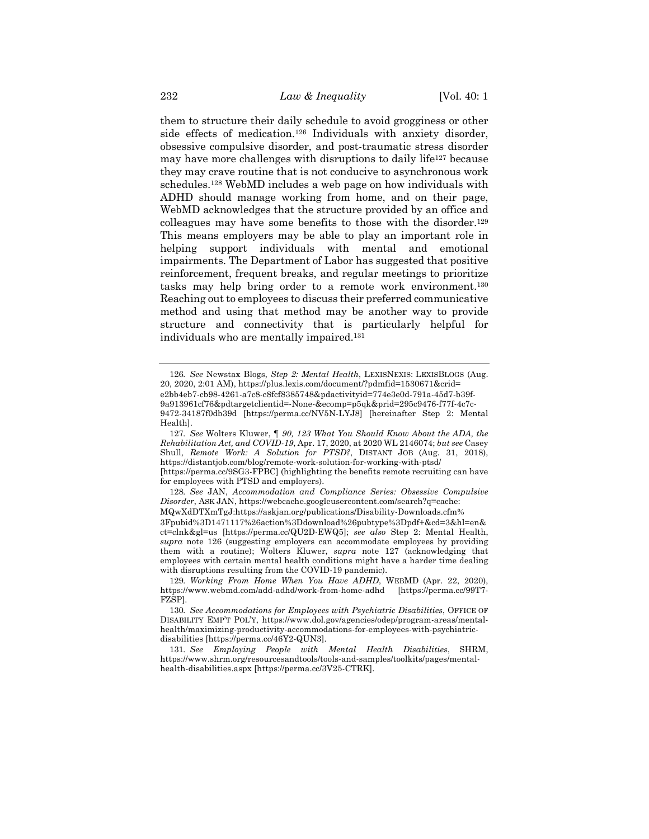them to structure their daily schedule to avoid grogginess or other side effects of medication.<sup>126</sup> Individuals with anxiety disorder, obsessive compulsive disorder, and post-traumatic stress disorder may have more challenges with disruptions to daily life<sup>127</sup> because they may crave routine that is not conducive to asynchronous work schedules.128 WebMD includes a web page on how individuals with ADHD should manage working from home, and on their page, WebMD acknowledges that the structure provided by an office and colleagues may have some benefits to those with the disorder.129 This means employers may be able to play an important role in helping support individuals with mental and emotional impairments. The Department of Labor has suggested that positive reinforcement, frequent breaks, and regular meetings to prioritize tasks may help bring order to a remote work environment.130 Reaching out to employees to discuss their preferred communicative method and using that method may be another way to provide structure and connectivity that is particularly helpful for individuals who are mentally impaired.131

<sup>126</sup>*. See* Newstax Blogs, *Step 2: Mental Health*, LEXISNEXIS: LEXISBLOGS (Aug. 20, 2020, 2:01 AM), https://plus.lexis.com/document/?pdmfid=1530671&crid= e2bb4eb7-cb98-4261-a7c8-c8fcf8385748&pdactivityid=774e3e0d-791a-45d7-b39f-9a913961cf76&pdtargetclientid=-None-&ecomp=p5qk&prid=295c9476-f77f-4c7c-9472-34187f0db39d [https://perma.cc/NV5N-LYJ8] [hereinafter Step 2: Mental Health].

<sup>127</sup>*. See* Wolters Kluwer, *¶ 90, 123 What You Should Know About the ADA, the Rehabilitation Act, and COVID-19*, Apr. 17, 2020, at 2020 WL 2146074; *but see* Casey Shull, *Remote Work: A Solution for PTSD?*, DISTANT JOB (Aug. 31, 2018), https://distantjob.com/blog/remote-work-solution-for-working-with-ptsd/ [https://perma.cc/9SG3-FPBC] (highlighting the benefits remote recruiting can have for employees with PTSD and employers).

<sup>128</sup>*. See* JAN, *Accommodation and Compliance Series: Obsessive Compulsive Disorder*, ASK JAN, https://webcache.googleusercontent.com/search?q=cache: MQwXdDTXmTgJ:https://askjan.org/publications/Disability-Downloads.cfm% 3Fpubid%3D1471117%26action%3Ddownload%26pubtype%3Dpdf+&cd=3&hl=en& ct=clnk&gl=us [https://perma.cc/QU2D-EWQ5]; *see also* Step 2: Mental Health, *supra* note 126 (suggesting employers can accommodate employees by providing them with a routine); Wolters Kluwer, *supra* note 127 (acknowledging that employees with certain mental health conditions might have a harder time dealing with disruptions resulting from the COVID-19 pandemic).

<sup>129</sup>*. Working From Home When You Have ADHD*, WEBMD (Apr. 22, 2020), https://www.webmd.com/add-adhd/work-from-home-adhd [https://perma.cc/99T7- FZSP].

<sup>130</sup>*. See Accommodations for Employees with Psychiatric Disabilities*, OFFICE OF DISABILITY EMP'T POL'Y, https://www.dol.gov/agencies/odep/program-areas/mentalhealth/maximizing-productivity-accommodations-for-employees-with-psychiatricdisabilities [https://perma.cc/46Y2-QUN3].

<sup>131</sup>*. See Employing People with Mental Health Disabilities*, SHRM, https://www.shrm.org/resourcesandtools/tools-and-samples/toolkits/pages/mentalhealth-disabilities.aspx [https://perma.cc/3V25-CTRK].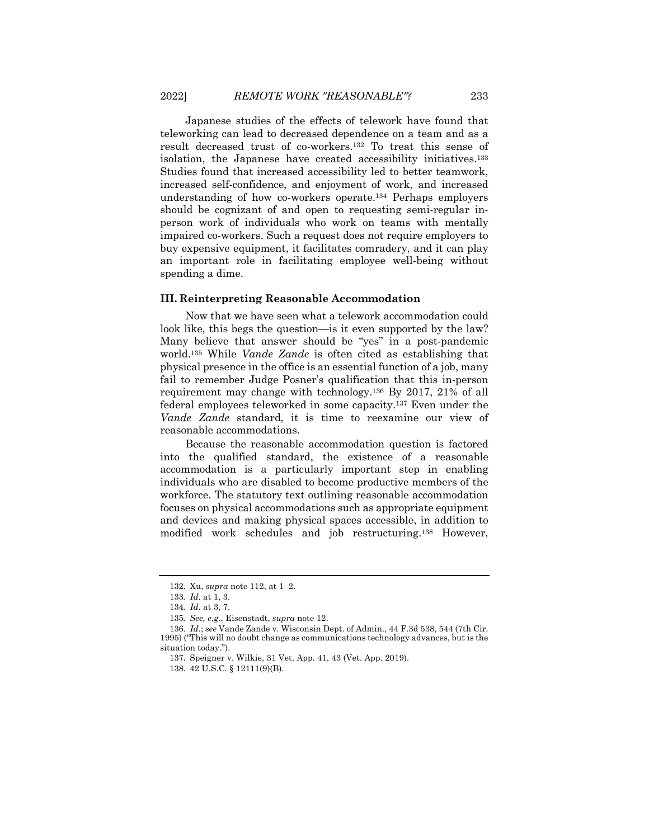Japanese studies of the effects of telework have found that teleworking can lead to decreased dependence on a team and as a result decreased trust of co-workers.132 To treat this sense of isolation, the Japanese have created accessibility initiatives.133 Studies found that increased accessibility led to better teamwork, increased self-confidence, and enjoyment of work, and increased understanding of how co-workers operate.134 Perhaps employers should be cognizant of and open to requesting semi-regular inperson work of individuals who work on teams with mentally impaired co-workers. Such a request does not require employers to buy expensive equipment, it facilitates comradery, and it can play an important role in facilitating employee well-being without spending a dime.

#### **III. Reinterpreting Reasonable Accommodation**

Now that we have seen what a telework accommodation could look like, this begs the question—is it even supported by the law? Many believe that answer should be "yes" in a post-pandemic world.135 While *Vande Zande* is often cited as establishing that physical presence in the office is an essential function of a job, many fail to remember Judge Posner's qualification that this in-person requirement may change with technology.136 By 2017, 21% of all federal employees teleworked in some capacity.137 Even under the *Vande Zande* standard, it is time to reexamine our view of reasonable accommodations.

Because the reasonable accommodation question is factored into the qualified standard, the existence of a reasonable accommodation is a particularly important step in enabling individuals who are disabled to become productive members of the workforce. The statutory text outlining reasonable accommodation focuses on physical accommodations such as appropriate equipment and devices and making physical spaces accessible, in addition to modified work schedules and job restructuring.138 However,

<sup>132.</sup> Xu, *supra* note 112, at 1–2.

<sup>133</sup>*. Id.* at 1, 3.

<sup>134</sup>*. Id.* at 3, 7.

<sup>135</sup>*. See, e.g.*, Eisenstadt, *supra* note 12.

<sup>136</sup>*. Id.*; *see* Vande Zande v. Wisconsin Dept. of Admin., 44 F.3d 538, 544 (7th Cir. 1995) ("This will no doubt change as communications technology advances, but is the situation today.").

<sup>137.</sup> Speigner v. Wilkie, 31 Vet. App. 41, 43 (Vet. App. 2019).

<sup>138.</sup> 42 U.S.C. § 12111(9)(B).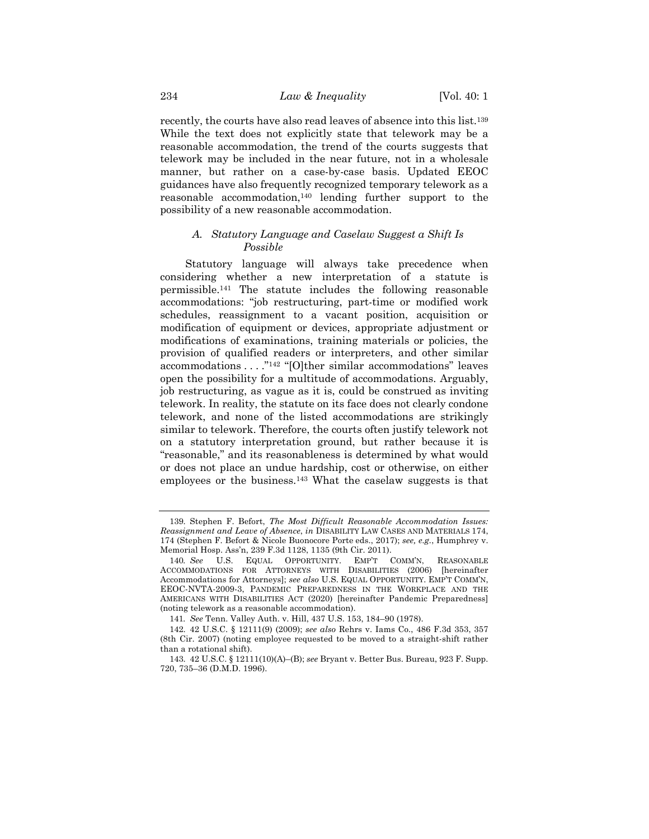recently, the courts have also read leaves of absence into this list.139 While the text does not explicitly state that telework may be a reasonable accommodation, the trend of the courts suggests that telework may be included in the near future, not in a wholesale manner, but rather on a case-by-case basis. Updated EEOC guidances have also frequently recognized temporary telework as a reasonable accommodation,140 lending further support to the possibility of a new reasonable accommodation.

## *A. Statutory Language and Caselaw Suggest a Shift Is Possible*

Statutory language will always take precedence when considering whether a new interpretation of a statute is permissible.141 The statute includes the following reasonable accommodations: "job restructuring, part-time or modified work schedules, reassignment to a vacant position, acquisition or modification of equipment or devices, appropriate adjustment or modifications of examinations, training materials or policies, the provision of qualified readers or interpreters, and other similar accommodations . . . ."142 "[O]ther similar accommodations" leaves open the possibility for a multitude of accommodations. Arguably, job restructuring, as vague as it is, could be construed as inviting telework. In reality, the statute on its face does not clearly condone telework, and none of the listed accommodations are strikingly similar to telework. Therefore, the courts often justify telework not on a statutory interpretation ground, but rather because it is "reasonable," and its reasonableness is determined by what would or does not place an undue hardship, cost or otherwise, on either employees or the business.143 What the caselaw suggests is that

<sup>139.</sup> Stephen F. Befort, *The Most Difficult Reasonable Accommodation Issues: Reassignment and Leave of Absence*, *in* DISABILITY LAW CASES AND MATERIALS 174, 174 (Stephen F. Befort & Nicole Buonocore Porte eds., 2017); *see, e.g.*, Humphrey v. Memorial Hosp. Ass'n, 239 F.3d 1128, 1135 (9th Cir. 2011).

<sup>140</sup>*. See* U.S. EQUAL OPPORTUNITY. EMP'T COMM'N, REASONABLE ACCOMMODATIONS FOR ATTORNEYS WITH DISABILITIES (2006) [hereinafter Accommodations for Attorneys]; *see also* U.S. EQUAL OPPORTUNITY. EMP'T COMM'N, EEOC-NVTA-2009-3, PANDEMIC PREPAREDNESS IN THE WORKPLACE AND THE AMERICANS WITH DISABILITIES ACT (2020) [hereinafter Pandemic Preparedness] (noting telework as a reasonable accommodation).

<sup>141</sup>*. See* Tenn. Valley Auth. v. Hill, 437 U.S. 153, 184–90 (1978).

<sup>142.</sup> 42 U.S.C. § 12111(9) (2009); *see also* Rehrs v. Iams Co., 486 F.3d 353, 357 (8th Cir. 2007) (noting employee requested to be moved to a straight-shift rather than a rotational shift).

<sup>143.</sup> 42 U.S.C. § 12111(10)(A)–(B); *see* Bryant v. Better Bus. Bureau, 923 F. Supp. 720, 735–36 (D.M.D. 1996).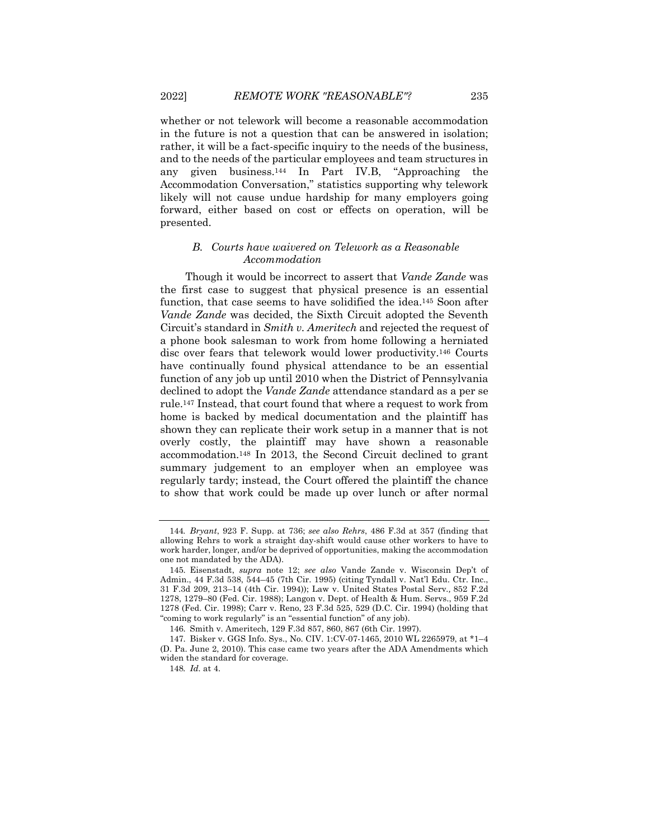whether or not telework will become a reasonable accommodation in the future is not a question that can be answered in isolation; rather, it will be a fact-specific inquiry to the needs of the business, and to the needs of the particular employees and team structures in any given business.144 In Part IV.B, "Approaching the Accommodation Conversation," statistics supporting why telework likely will not cause undue hardship for many employers going forward, either based on cost or effects on operation, will be presented.

#### *B. Courts have waivered on Telework as a Reasonable Accommodation*

Though it would be incorrect to assert that *Vande Zande* was the first case to suggest that physical presence is an essential function, that case seems to have solidified the idea.145 Soon after *Vande Zande* was decided, the Sixth Circuit adopted the Seventh Circuit's standard in *Smith v. Ameritech* and rejected the request of a phone book salesman to work from home following a herniated disc over fears that telework would lower productivity.146 Courts have continually found physical attendance to be an essential function of any job up until 2010 when the District of Pennsylvania declined to adopt the *Vande Zande* attendance standard as a per se rule.147 Instead, that court found that where a request to work from home is backed by medical documentation and the plaintiff has shown they can replicate their work setup in a manner that is not overly costly, the plaintiff may have shown a reasonable accommodation.148 In 2013, the Second Circuit declined to grant summary judgement to an employer when an employee was regularly tardy; instead, the Court offered the plaintiff the chance to show that work could be made up over lunch or after normal

<sup>144</sup>*. Bryant*, 923 F. Supp. at 736; *see also Rehrs*, 486 F.3d at 357 (finding that allowing Rehrs to work a straight day-shift would cause other workers to have to work harder, longer, and/or be deprived of opportunities, making the accommodation one not mandated by the ADA).

<sup>145.</sup> Eisenstadt, *supra* note 12; *see also* Vande Zande v. Wisconsin Dep't of Admin., 44 F.3d 538, 544–45 (7th Cir. 1995) (citing Tyndall v. Nat'l Edu. Ctr. Inc., 31 F.3d 209, 213–14 (4th Cir. 1994)); Law v. United States Postal Serv*.,* 852 F.2d 1278, 1279–80 (Fed. Cir. 1988); Langon v. Dept. of Health & Hum. Servs., 959 F.2d 1278 (Fed. Cir. 1998); Carr v. Reno, 23 F.3d 525, 529 (D.C. Cir. 1994) (holding that "coming to work regularly" is an "essential function" of any job).

<sup>146.</sup> Smith v. Ameritech, 129 F.3d 857, 860, 867 (6th Cir. 1997).

<sup>147.</sup> Bisker v. GGS Info. Sys., No. CIV. 1:CV-07-1465, 2010 WL 2265979, at \*1–4 (D. Pa. June 2, 2010). This case came two years after the ADA Amendments which widen the standard for coverage.

<sup>148</sup>*. Id.* at 4.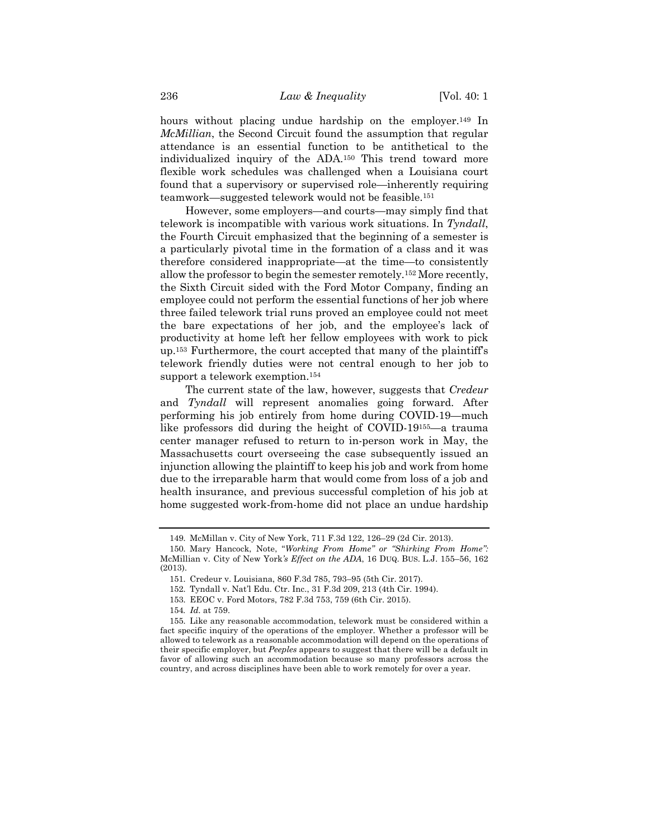hours without placing undue hardship on the employer.<sup>149</sup> In *McMillian*, the Second Circuit found the assumption that regular attendance is an essential function to be antithetical to the individualized inquiry of the ADA.150 This trend toward more flexible work schedules was challenged when a Louisiana court found that a supervisory or supervised role—inherently requiring teamwork—suggested telework would not be feasible.151

However, some employers—and courts—may simply find that telework is incompatible with various work situations. In *Tyndall*, the Fourth Circuit emphasized that the beginning of a semester is a particularly pivotal time in the formation of a class and it was therefore considered inappropriate—at the time—to consistently allow the professor to begin the semester remotely.152 More recently, the Sixth Circuit sided with the Ford Motor Company, finding an employee could not perform the essential functions of her job where three failed telework trial runs proved an employee could not meet the bare expectations of her job, and the employee's lack of productivity at home left her fellow employees with work to pick up.153 Furthermore, the court accepted that many of the plaintiff's telework friendly duties were not central enough to her job to support a telework exemption.154

The current state of the law, however, suggests that *Credeur* and *Tyndall* will represent anomalies going forward. After performing his job entirely from home during COVID-19—much like professors did during the height of COVID-19155—a trauma center manager refused to return to in-person work in May, the Massachusetts court overseeing the case subsequently issued an injunction allowing the plaintiff to keep his job and work from home due to the irreparable harm that would come from loss of a job and health insurance, and previous successful completion of his job at home suggested work-from-home did not place an undue hardship

<sup>149.</sup> McMillan v. City of New York, 711 F.3d 122, 126–29 (2d Cir. 2013).

<sup>150.</sup> Mary Hancock, Note, "*Working From Home" or "Shirking From Home":*  McMillian v. City of New York*'s Effect on the ADA*, 16 DUQ. BUS. L.J. 155–56, 162 (2013).

<sup>151.</sup> Credeur v. Louisiana, 860 F.3d 785, 793–95 (5th Cir. 2017).

<sup>152.</sup> Tyndall v. Nat'l Edu. Ctr. Inc., 31 F.3d 209, 213 (4th Cir. 1994).

<sup>153.</sup> EEOC v. Ford Motors, 782 F.3d 753, 759 (6th Cir. 2015).

<sup>154</sup>*. Id.* at 759.

<sup>155.</sup> Like any reasonable accommodation, telework must be considered within a fact specific inquiry of the operations of the employer. Whether a professor will be allowed to telework as a reasonable accommodation will depend on the operations of their specific employer, but *Peeples* appears to suggest that there will be a default in favor of allowing such an accommodation because so many professors across the country, and across disciplines have been able to work remotely for over a year.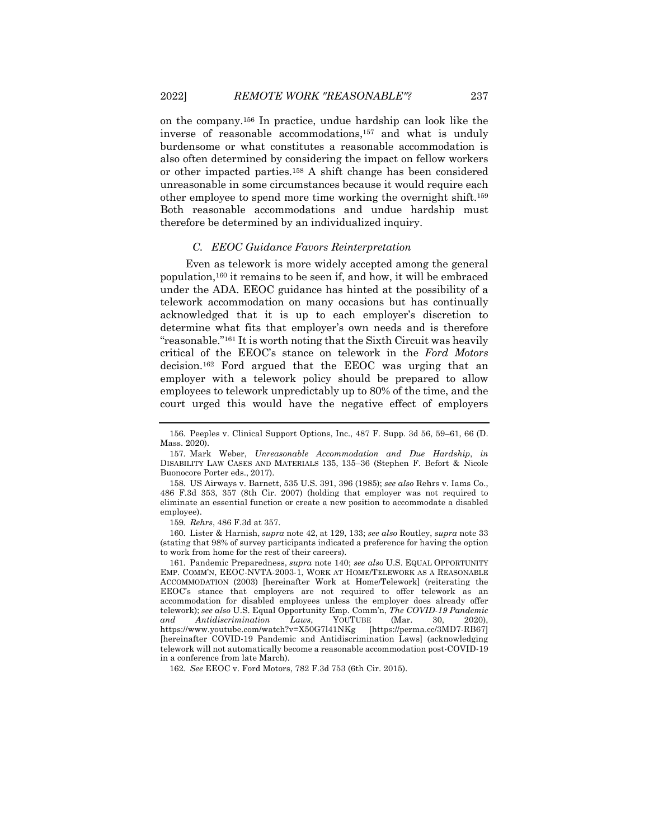on the company.156 In practice, undue hardship can look like the inverse of reasonable accommodations,157 and what is unduly burdensome or what constitutes a reasonable accommodation is also often determined by considering the impact on fellow workers or other impacted parties.158 A shift change has been considered unreasonable in some circumstances because it would require each other employee to spend more time working the overnight shift.159 Both reasonable accommodations and undue hardship must therefore be determined by an individualized inquiry.

#### *C. EEOC Guidance Favors Reinterpretation*

Even as telework is more widely accepted among the general population,160 it remains to be seen if, and how, it will be embraced under the ADA. EEOC guidance has hinted at the possibility of a telework accommodation on many occasions but has continually acknowledged that it is up to each employer's discretion to determine what fits that employer's own needs and is therefore "reasonable."161 It is worth noting that the Sixth Circuit was heavily critical of the EEOC's stance on telework in the *Ford Motors*  decision.162 Ford argued that the EEOC was urging that an employer with a telework policy should be prepared to allow employees to telework unpredictably up to 80% of the time, and the court urged this would have the negative effect of employers

159*. Rehrs*, 486 F.3d at 357.

160. Lister & Harnish, *supra* note 42, at 129, 133; *see also* Routley, *supra* note 33 (stating that 98% of survey participants indicated a preference for having the option to work from home for the rest of their careers).

161. Pandemic Preparedness, *supra* note 140; *see also* U.S. EQUAL OPPORTUNITY EMP. COMM'N, EEOC-NVTA-2003-1, WORK AT HOME/TELEWORK AS A REASONABLE ACCOMMODATION (2003) [hereinafter Work at Home/Telework] (reiterating the EEOC's stance that employers are not required to offer telework as an accommodation for disabled employees unless the employer does already offer telework); *see also* U.S. Equal Opportunity Emp. Comm'n, *The COVID-19 Pandemic and Antidiscrimination Laws*, YOUTUBE (Mar. 30, 2020), https://www.youtube.com/watch?v=X50G7l41NKg [hereinafter COVID-19 Pandemic and Antidiscrimination Laws] (acknowledging telework will not automatically become a reasonable accommodation post-COVID-19 in a conference from late March).

162*. See* EEOC v. Ford Motors, 782 F.3d 753 (6th Cir. 2015).

<sup>156.</sup> Peeples v. Clinical Support Options, Inc., 487 F. Supp. 3d 56, 59–61, 66 (D. Mass. 2020).

<sup>157.</sup> Mark Weber, *Unreasonable Accommodation and Due Hardship*, *in*  DISABILITY LAW CASES AND MATERIALS 135, 135–36 (Stephen F. Befort & Nicole Buonocore Porter eds., 2017).

<sup>158.</sup> US Airways v. Barnett, 535 U.S. 391, 396 (1985); *see also* Rehrs v. Iams Co., 486 F.3d 353, 357 (8th Cir. 2007) (holding that employer was not required to eliminate an essential function or create a new position to accommodate a disabled employee).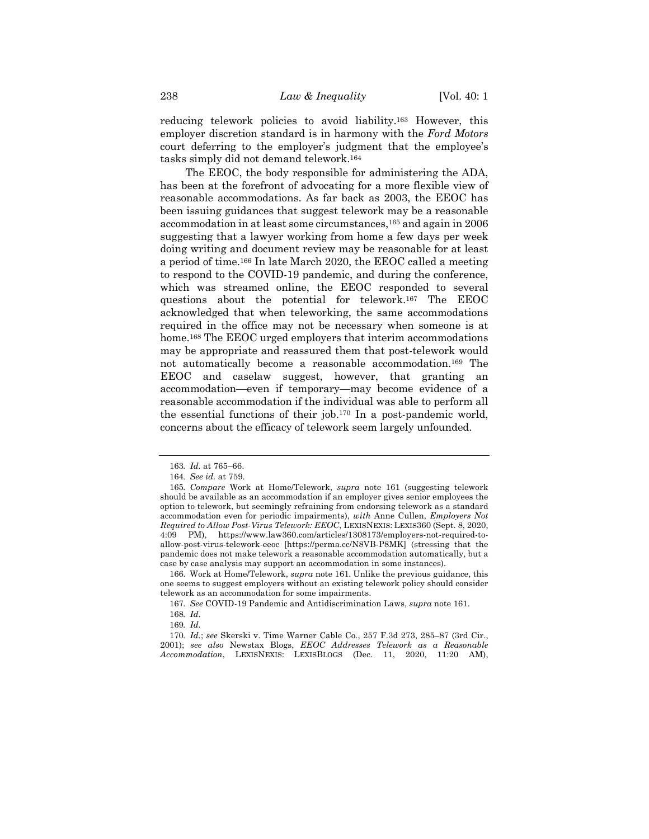reducing telework policies to avoid liability.163 However, this employer discretion standard is in harmony with the *Ford Motors* court deferring to the employer's judgment that the employee's tasks simply did not demand telework.164

The EEOC, the body responsible for administering the ADA, has been at the forefront of advocating for a more flexible view of reasonable accommodations. As far back as 2003, the EEOC has been issuing guidances that suggest telework may be a reasonable accommodation in at least some circumstances,165 and again in 2006 suggesting that a lawyer working from home a few days per week doing writing and document review may be reasonable for at least a period of time.166 In late March 2020, the EEOC called a meeting to respond to the COVID-19 pandemic, and during the conference, which was streamed online, the EEOC responded to several questions about the potential for telework.167 The EEOC acknowledged that when teleworking, the same accommodations required in the office may not be necessary when someone is at home.<sup>168</sup> The EEOC urged employers that interim accommodations may be appropriate and reassured them that post-telework would not automatically become a reasonable accommodation.169 The EEOC and caselaw suggest, however, that granting an accommodation—even if temporary—may become evidence of a reasonable accommodation if the individual was able to perform all the essential functions of their job.170 In a post-pandemic world, concerns about the efficacy of telework seem largely unfounded.

<sup>163</sup>*. Id.* at 765–66.

<sup>164</sup>*. See id.* at 759.

<sup>165</sup>*. Compare* Work at Home/Telework, *supra* note 161 (suggesting telework should be available as an accommodation if an employer gives senior employees the option to telework, but seemingly refraining from endorsing telework as a standard accommodation even for periodic impairments), *with* Anne Cullen, *Employers Not Required to Allow Post-Virus Telework: EEOC*, LEXISNEXIS: LEXIS360 (Sept. 8, 2020, 4:09 PM), https://www.law360.com/articles/1308173/employers-not-required-toallow-post-virus-telework-eeoc [https://perma.cc/N8VB-P8MK] (stressing that the pandemic does not make telework a reasonable accommodation automatically, but a case by case analysis may support an accommodation in some instances).

<sup>166.</sup> Work at Home/Telework, *supra* note 161*.* Unlike the previous guidance, this one seems to suggest employers without an existing telework policy should consider telework as an accommodation for some impairments.

<sup>167</sup>*. See* COVID-19 Pandemic and Antidiscrimination Laws, *supra* note 161.

<sup>168</sup>*. Id.*

<sup>169</sup>*. Id.*

<sup>170</sup>*. Id.*; *see* Skerski v. Time Warner Cable Co., 257 F.3d 273, 285–87 (3rd Cir., 2001); *see also* Newstax Blogs, *EEOC Addresses Telework as a Reasonable Accommodation*, LEXISNEXIS: LEXISBLOGS (Dec. 11, 2020, 11:20 AM),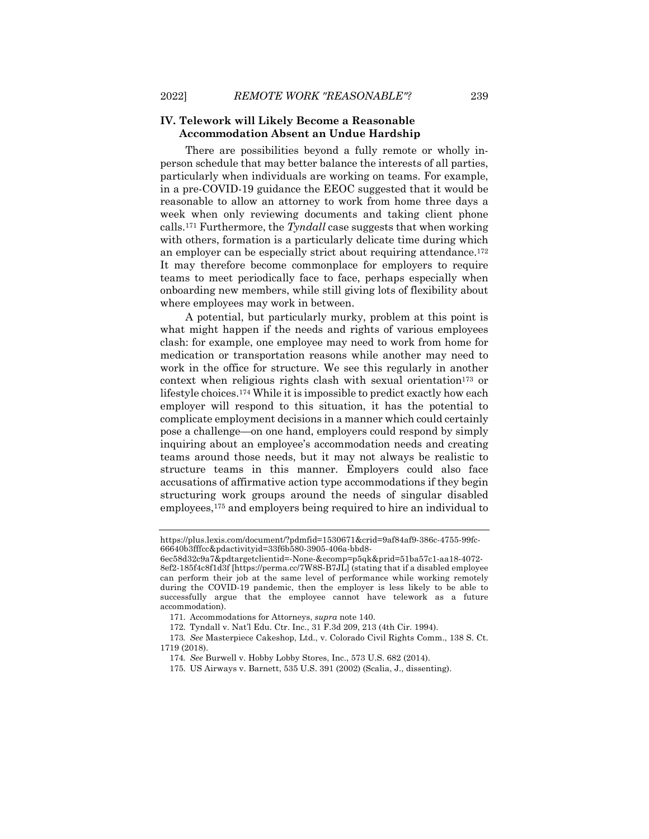# **IV. Telework will Likely Become a Reasonable Accommodation Absent an Undue Hardship**

There are possibilities beyond a fully remote or wholly inperson schedule that may better balance the interests of all parties, particularly when individuals are working on teams. For example, in a pre-COVID-19 guidance the EEOC suggested that it would be reasonable to allow an attorney to work from home three days a week when only reviewing documents and taking client phone calls.171 Furthermore, the *Tyndall* case suggests that when working with others, formation is a particularly delicate time during which an employer can be especially strict about requiring attendance.172 It may therefore become commonplace for employers to require teams to meet periodically face to face, perhaps especially when onboarding new members, while still giving lots of flexibility about where employees may work in between.

A potential, but particularly murky, problem at this point is what might happen if the needs and rights of various employees clash: for example, one employee may need to work from home for medication or transportation reasons while another may need to work in the office for structure. We see this regularly in another context when religious rights clash with sexual orientation<sup>173</sup> or lifestyle choices.174 While it is impossible to predict exactly how each employer will respond to this situation, it has the potential to complicate employment decisions in a manner which could certainly pose a challenge—on one hand, employers could respond by simply inquiring about an employee's accommodation needs and creating teams around those needs, but it may not always be realistic to structure teams in this manner. Employers could also face accusations of affirmative action type accommodations if they begin structuring work groups around the needs of singular disabled employees,175 and employers being required to hire an individual to

https://plus.lexis.com/document/?pdmfid=1530671&crid=9af84af9-386c-4755-99fc-66640b3fffcc&pdactivityid=33f6b580-3905-406a-bbd8-

<sup>6</sup>ec58d32c9a7&pdtargetclientid=-None-&ecomp=p5qk&prid=51ba57c1-aa18-4072- 8ef2-185f4c8f1d3f [https://perma.cc/7W8S-B7JL] (stating that if a disabled employee can perform their job at the same level of performance while working remotely during the COVID-19 pandemic, then the employer is less likely to be able to successfully argue that the employee cannot have telework as a future accommodation).

<sup>171.</sup> Accommodations for Attorneys, *supra* note 140.

<sup>172.</sup> Tyndall v. Nat'l Edu. Ctr. Inc., 31 F.3d 209, 213 (4th Cir. 1994).

<sup>173</sup>*. See* Masterpiece Cakeshop, Ltd., v. Colorado Civil Rights Comm., 138 S. Ct. 1719 (2018).

<sup>174</sup>*. See* Burwell v. Hobby Lobby Stores, Inc., 573 U.S. 682 (2014).

<sup>175.</sup> US Airways v. Barnett, 535 U.S. 391 (2002) (Scalia, J., dissenting).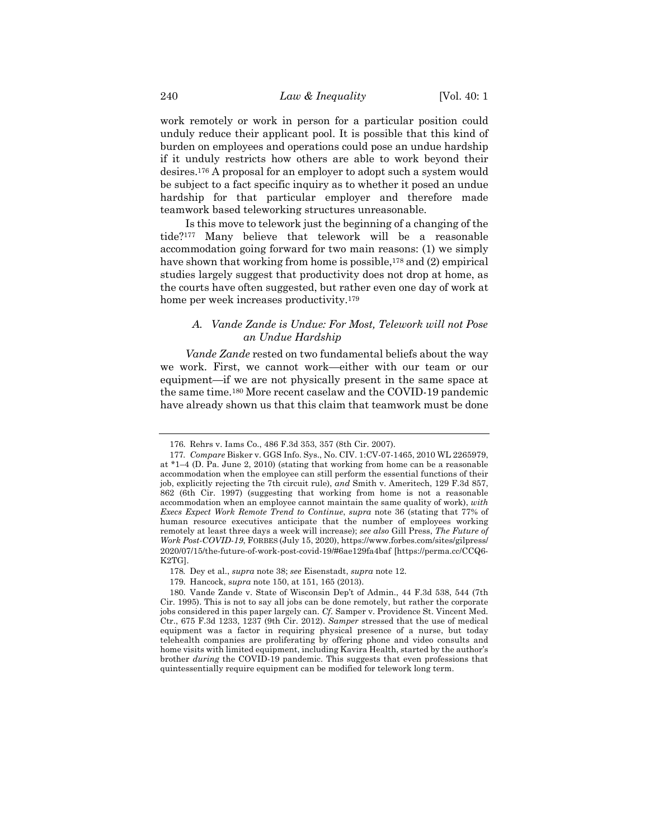work remotely or work in person for a particular position could unduly reduce their applicant pool. It is possible that this kind of burden on employees and operations could pose an undue hardship if it unduly restricts how others are able to work beyond their desires.176 A proposal for an employer to adopt such a system would be subject to a fact specific inquiry as to whether it posed an undue hardship for that particular employer and therefore made teamwork based teleworking structures unreasonable.

Is this move to telework just the beginning of a changing of the tide?177 Many believe that telework will be a reasonable accommodation going forward for two main reasons: (1) we simply have shown that working from home is possible,<sup>178</sup> and (2) empirical studies largely suggest that productivity does not drop at home, as the courts have often suggested, but rather even one day of work at home per week increases productivity.179

#### *A. Vande Zande is Undue: For Most, Telework will not Pose an Undue Hardship*

*Vande Zande* rested on two fundamental beliefs about the way we work. First, we cannot work—either with our team or our equipment—if we are not physically present in the same space at the same time.180 More recent caselaw and the COVID-19 pandemic have already shown us that this claim that teamwork must be done

<sup>176.</sup> Rehrs v. Iams Co., 486 F.3d 353, 357 (8th Cir. 2007).

<sup>177</sup>*. Compare* Bisker v. GGS Info. Sys., No. CIV. 1:CV-07-1465, 2010 WL 2265979, at \*1–4 (D. Pa. June 2, 2010) (stating that working from home can be a reasonable accommodation when the employee can still perform the essential functions of their job, explicitly rejecting the 7th circuit rule), *and* Smith v. Ameritech, 129 F.3d 857, 862 (6th Cir. 1997) (suggesting that working from home is not a reasonable accommodation when an employee cannot maintain the same quality of work), *with Execs Expect Work Remote Trend to Continue*, *supra* note 36 (stating that 77% of human resource executives anticipate that the number of employees working remotely at least three days a week will increase); *see also* Gill Press, *The Future of Work Post-COVID-19*, FORBES (July 15, 2020), https://www.forbes.com/sites/gilpress/ 2020/07/15/the-future-of-work-post-covid-19/#6ae129fa4baf [https://perma.cc/CCQ6- K2TG].

<sup>178</sup>*.* Dey et al., *supra* note 38; *see* Eisenstadt, *supra* note 12.

<sup>179.</sup> Hancock, s*upra* note 150, at 151, 165 (2013).

<sup>180.</sup> Vande Zande v. State of Wisconsin Dep't of Admin., 44 F.3d 538, 544 (7th Cir. 1995). This is not to say all jobs can be done remotely, but rather the corporate jobs considered in this paper largely can. *Cf.* Samper v. Providence St. Vincent Med. Ctr., 675 F.3d 1233, 1237 (9th Cir. 2012). *Samper* stressed that the use of medical equipment was a factor in requiring physical presence of a nurse, but today telehealth companies are proliferating by offering phone and video consults and home visits with limited equipment, including Kavira Health, started by the author's brother *during* the COVID-19 pandemic. This suggests that even professions that quintessentially require equipment can be modified for telework long term.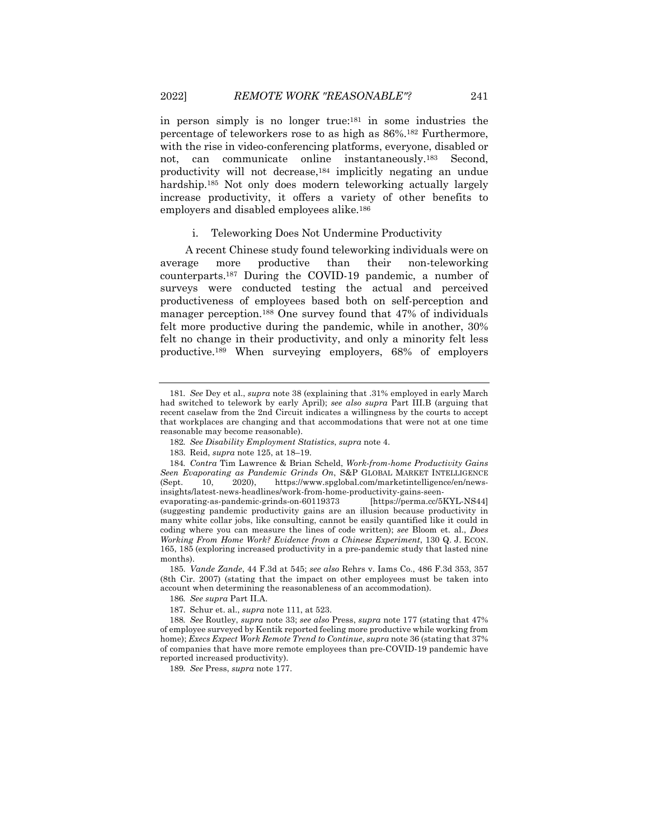in person simply is no longer true:181 in some industries the percentage of teleworkers rose to as high as 86%.182 Furthermore, with the rise in video-conferencing platforms, everyone, disabled or not, can communicate online instantaneously.183 Second, productivity will not decrease,184 implicitly negating an undue hardship.<sup>185</sup> Not only does modern teleworking actually largely increase productivity, it offers a variety of other benefits to employers and disabled employees alike.186

#### i. Teleworking Does Not Undermine Productivity

A recent Chinese study found teleworking individuals were on average more productive than their non-teleworking counterparts.187 During the COVID-19 pandemic, a number of surveys were conducted testing the actual and perceived productiveness of employees based both on self-perception and manager perception.188 One survey found that 47% of individuals felt more productive during the pandemic, while in another, 30% felt no change in their productivity, and only a minority felt less productive.189 When surveying employers, 68% of employers

<sup>181</sup>*. See* Dey et al., *supra* note 38 (explaining that .31% employed in early March had switched to telework by early April); *see also supra* Part III.B (arguing that recent caselaw from the 2nd Circuit indicates a willingness by the courts to accept that workplaces are changing and that accommodations that were not at one time reasonable may become reasonable).

<sup>182</sup>*. See Disability Employment Statistics*, *supra* note 4.

<sup>183.</sup> Reid, *supra* note 125, at 18–19.

<sup>184</sup>*. Contra* Tim Lawrence & Brian Scheld, *Work-from-home Productivity Gains Seen Evaporating as Pandemic Grinds On*, S&P GLOBAL MARKET INTELLIGENCE (Sept. 10, 2020), https://www.spglobal.com/marketintelligence/en/newsinsights/latest-news-headlines/work-from-home-productivity-gains-seen-<br>evaporating-as-pandemic-grinds-on-60119373 [https://perma.cc/5KYL-NS44] evaporating-as-pandemic-grinds-on-60119373 (suggesting pandemic productivity gains are an illusion because productivity in

many white collar jobs, like consulting, cannot be easily quantified like it could in coding where you can measure the lines of code written); *see* Bloom et. al., *Does Working From Home Work? Evidence from a Chinese Experiment*, 130 Q. J. ECON. 165, 185 (exploring increased productivity in a pre-pandemic study that lasted nine months).

<sup>185.</sup> *Vande Zande*, 44 F.3d at 545; *see also* Rehrs v. Iams Co., 486 F.3d 353, 357 (8th Cir. 2007) (stating that the impact on other employees must be taken into account when determining the reasonableness of an accommodation).

<sup>186</sup>*. See supra* Part II.A.

<sup>187.</sup> Schur et. al., *supra* note 111, at 523.

<sup>188</sup>*. See* Routley, *supra* note 33; *see also* Press, *supra* note 177 (stating that 47% of employee surveyed by Kentik reported feeling more productive while working from home); *Execs Expect Work Remote Trend to Continue*, *supra* note 36 (stating that 37% of companies that have more remote employees than pre-COVID-19 pandemic have reported increased productivity).

<sup>189</sup>*. See* Press, *supra* note 177.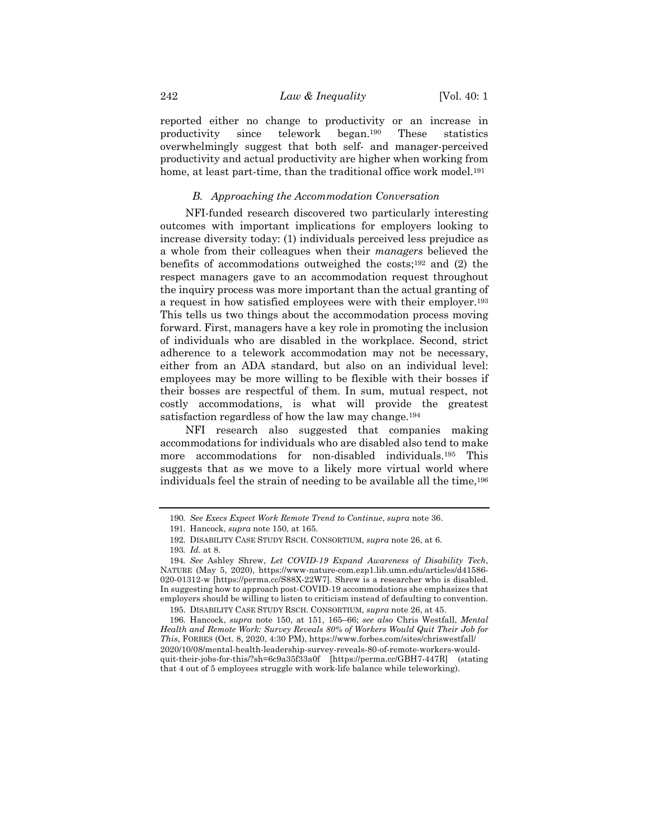reported either no change to productivity or an increase in productivity since telework began.190 These statistics overwhelmingly suggest that both self- and manager-perceived productivity and actual productivity are higher when working from home, at least part-time, than the traditional office work model.<sup>191</sup>

#### *B. Approaching the Accommodation Conversation*

NFI-funded research discovered two particularly interesting outcomes with important implications for employers looking to increase diversity today: (1) individuals perceived less prejudice as a whole from their colleagues when their *managers* believed the benefits of accommodations outweighed the costs;192 and (2) the respect managers gave to an accommodation request throughout the inquiry process was more important than the actual granting of a request in how satisfied employees were with their employer.193 This tells us two things about the accommodation process moving forward. First, managers have a key role in promoting the inclusion of individuals who are disabled in the workplace. Second, strict adherence to a telework accommodation may not be necessary, either from an ADA standard, but also on an individual level: employees may be more willing to be flexible with their bosses if their bosses are respectful of them. In sum, mutual respect, not costly accommodations, is what will provide the greatest satisfaction regardless of how the law may change.194

NFI research also suggested that companies making accommodations for individuals who are disabled also tend to make more accommodations for non-disabled individuals.195 This suggests that as we move to a likely more virtual world where individuals feel the strain of needing to be available all the time,196

<sup>190</sup>*. See Execs Expect Work Remote Trend to Continue*, *supra* note 36.

<sup>191.</sup> Hancock, *supra* note 150, at 165.

<sup>192.</sup> DISABILITY CASE STUDY RSCH. CONSORTIUM, *supra* note 26, at 6.

<sup>193</sup>*. Id.* at 8.

<sup>194</sup>*. See* Ashley Shrew, *Let COVID-19 Expand Awareness of Disability Tech*, NATURE (May 5, 2020), https://www-nature-com.ezp1.lib.umn.edu/articles/d41586- 020-01312-w [https://perma.cc/S88X-22W7]. Shrew is a researcher who is disabled. In suggesting how to approach post-COVID-19 accommodations she emphasizes that employers should be willing to listen to criticism instead of defaulting to convention.

<sup>195.</sup> DISABILITY CASE STUDY RSCH. CONSORTIUM, *supra* note 26, at 45.

<sup>196.</sup> Hancock, *supra* note 150, at 151, 165–66; *see also* Chris Westfall, *Mental Health and Remote Work: Survey Reveals 80% of Workers Would Quit Their Job for This*, FORBES (Oct. 8, 2020, 4:30 PM), https://www.forbes.com/sites/chriswestfall/ 2020/10/08/mental-health-leadership-survey-reveals-80-of-remote-workers-wouldquit-their-jobs-for-this/?sh=6c9a35f33a0f [https://perma.cc/GBH7-447R] (stating that 4 out of 5 employees struggle with work-life balance while teleworking).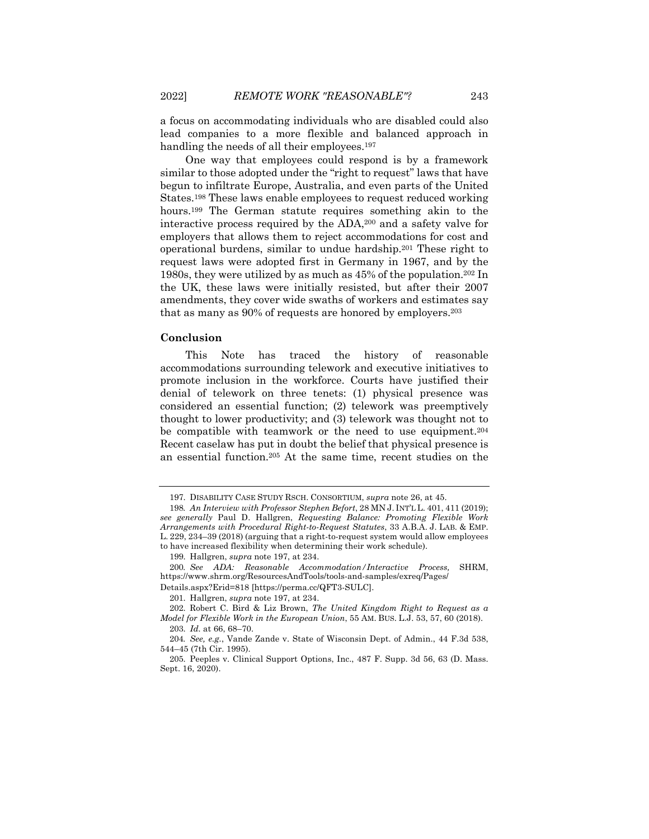a focus on accommodating individuals who are disabled could also lead companies to a more flexible and balanced approach in handling the needs of all their employees.<sup>197</sup>

One way that employees could respond is by a framework similar to those adopted under the "right to request" laws that have begun to infiltrate Europe, Australia, and even parts of the United States.198 These laws enable employees to request reduced working hours.<sup>199</sup> The German statute requires something akin to the interactive process required by the ADA,200 and a safety valve for employers that allows them to reject accommodations for cost and operational burdens, similar to undue hardship.201 These right to request laws were adopted first in Germany in 1967, and by the 1980s, they were utilized by as much as 45% of the population.202 In the UK, these laws were initially resisted, but after their 2007 amendments, they cover wide swaths of workers and estimates say that as many as 90% of requests are honored by employers.203

#### **Conclusion**

This Note has traced the history of reasonable accommodations surrounding telework and executive initiatives to promote inclusion in the workforce. Courts have justified their denial of telework on three tenets: (1) physical presence was considered an essential function; (2) telework was preemptively thought to lower productivity; and (3) telework was thought not to be compatible with teamwork or the need to use equipment.204 Recent caselaw has put in doubt the belief that physical presence is an essential function.205 At the same time, recent studies on the

<sup>197.</sup> DISABILITY CASE STUDY RSCH. CONSORTIUM, *supra* note 26, at 45.

<sup>198</sup>*. An Interview with Professor Stephen Befort*, 28 MN J. INT'L L. 401, 411 (2019); *see generally* Paul D. Hallgren, *Requesting Balance: Promoting Flexible Work Arrangements with Procedural Right-to-Request Statutes*, 33 A.B.A. J. LAB. & EMP. L. 229, 234–39 (2018) (arguing that a right-to-request system would allow employees to have increased flexibility when determining their work schedule).

<sup>199.</sup> Hallgren, *supra* note 197, at 234.

<sup>200</sup>*. See ADA: Reasonable Accommodation/Interactive Process,* SHRM, https://www.shrm.org/ResourcesAndTools/tools-and-samples/exreq/Pages/ Details.aspx?Erid=818 [https://perma.cc/QFT3-SULC].

<sup>201.</sup> Hallgren, *supra* note 197, at 234.

<sup>202.</sup> Robert C. Bird & Liz Brown, *The United Kingdom Right to Request as a Model for Flexible Work in the European Union*, 55 AM. BUS. L.J. 53, 57, 60 (2018).

<sup>203.</sup> *Id.* at 66, 68–70.

<sup>204</sup>*. See, e.g.*, Vande Zande v. State of Wisconsin Dept. of Admin., 44 F.3d 538, 544–45 (7th Cir. 1995).

<sup>205.</sup> Peeples v. Clinical Support Options, Inc., 487 F. Supp. 3d 56, 63 (D. Mass. Sept. 16, 2020).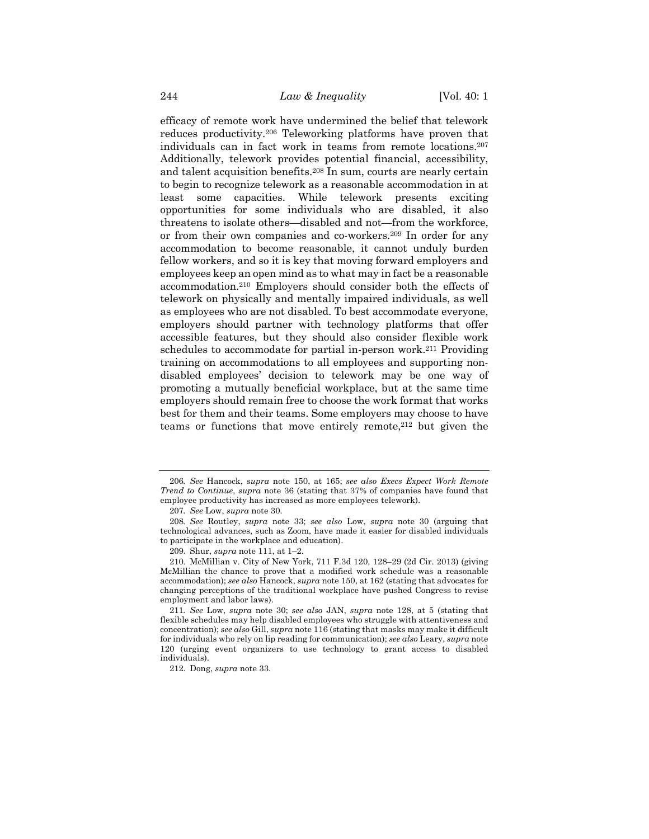efficacy of remote work have undermined the belief that telework reduces productivity.206 Teleworking platforms have proven that individuals can in fact work in teams from remote locations.207 Additionally, telework provides potential financial, accessibility, and talent acquisition benefits.208 In sum, courts are nearly certain to begin to recognize telework as a reasonable accommodation in at least some capacities. While telework presents exciting opportunities for some individuals who are disabled, it also threatens to isolate others—disabled and not—from the workforce, or from their own companies and co-workers.209 In order for any accommodation to become reasonable, it cannot unduly burden fellow workers, and so it is key that moving forward employers and employees keep an open mind as to what may in fact be a reasonable accommodation.210 Employers should consider both the effects of telework on physically and mentally impaired individuals, as well as employees who are not disabled. To best accommodate everyone, employers should partner with technology platforms that offer accessible features, but they should also consider flexible work schedules to accommodate for partial in-person work.<sup>211</sup> Providing training on accommodations to all employees and supporting nondisabled employees' decision to telework may be one way of promoting a mutually beneficial workplace, but at the same time employers should remain free to choose the work format that works best for them and their teams. Some employers may choose to have teams or functions that move entirely remote,<sup>212</sup> but given the

<sup>206</sup>*. See* Hancock, s*upra* note 150, at 165; *see also Execs Expect Work Remote Trend to Continue*, *supra* note 36 (stating that 37% of companies have found that employee productivity has increased as more employees telework).

<sup>207</sup>*. See* Low, *supra* note 30.

<sup>208</sup>*. See* Routley, *supra* note 33; *see also* Low, *supra* note 30 (arguing that technological advances, such as Zoom, have made it easier for disabled individuals to participate in the workplace and education).

<sup>209.</sup> Shur, *supra* note 111, at 1–2.

<sup>210.</sup> McMillian v. City of New York, 711 F.3d 120, 128–29 (2d Cir. 2013) (giving McMillian the chance to prove that a modified work schedule was a reasonable accommodation); *see also* Hancock, *supra* note 150, at 162 (stating that advocates for changing perceptions of the traditional workplace have pushed Congress to revise employment and labor laws).

<sup>211</sup>*. See* Low, *supra* note 30; *see also* JAN, *supra* note 128, at 5 (stating that flexible schedules may help disabled employees who struggle with attentiveness and concentration); *see also* Gill, *supra* note 116 (stating that masks may make it difficult for individuals who rely on lip reading for communication); *see also* Leary, *supra* note 120 (urging event organizers to use technology to grant access to disabled individuals).

<sup>212.</sup> Dong, *supra* note 33.